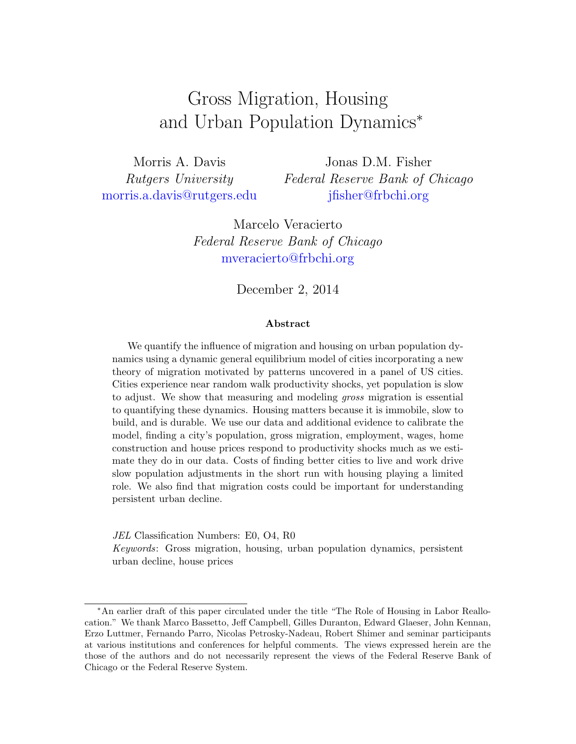# <span id="page-0-0"></span>Gross Migration, Housing and Urban Population Dynamics<sup>∗</sup>

Morris A. Davis Rutgers University [morris.a.davis@rutgers.edu](mailto:morris.a.davis@rutgers.edu)

Jonas D.M. Fisher Federal Reserve Bank of Chicago [jfisher@frbchi.org](mailto:jfisher@frbchi.org)

Marcelo Veracierto Federal Reserve Bank of Chicago [mveracierto@frbchi.org](mailto:mveracierto@frbchi.org)

December 2, 2014

# Abstract

We quantify the influence of migration and housing on urban population dynamics using a dynamic general equilibrium model of cities incorporating a new theory of migration motivated by patterns uncovered in a panel of US cities. Cities experience near random walk productivity shocks, yet population is slow to adjust. We show that measuring and modeling gross migration is essential to quantifying these dynamics. Housing matters because it is immobile, slow to build, and is durable. We use our data and additional evidence to calibrate the model, finding a city's population, gross migration, employment, wages, home construction and house prices respond to productivity shocks much as we estimate they do in our data. Costs of finding better cities to live and work drive slow population adjustments in the short run with housing playing a limited role. We also find that migration costs could be important for understanding persistent urban decline.

JEL Classification Numbers: E0, O4, R0 Keywords: Gross migration, housing, urban population dynamics, persistent urban decline, house prices

<sup>∗</sup>An earlier draft of this paper circulated under the title "The Role of Housing in Labor Reallocation." We thank Marco Bassetto, Jeff Campbell, Gilles Duranton, Edward Glaeser, John Kennan, Erzo Luttmer, Fernando Parro, Nicolas Petrosky-Nadeau, Robert Shimer and seminar participants at various institutions and conferences for helpful comments. The views expressed herein are the those of the authors and do not necessarily represent the views of the Federal Reserve Bank of Chicago or the Federal Reserve System.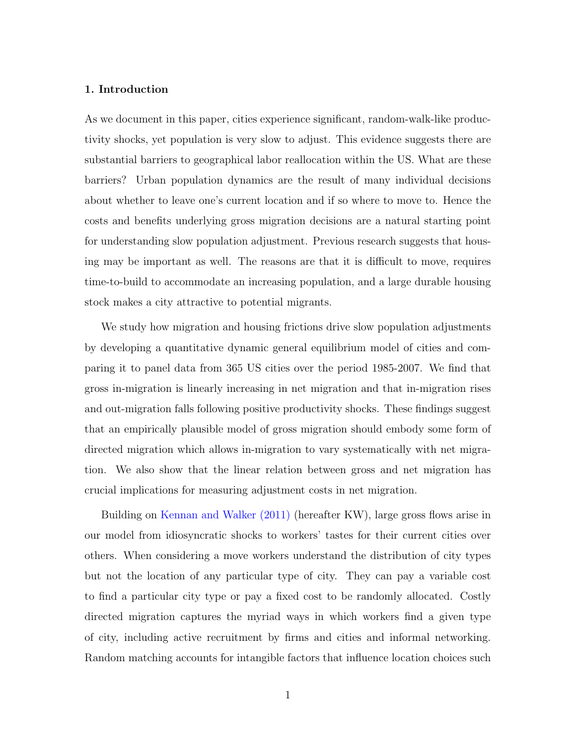# 1. Introduction

As we document in this paper, cities experience significant, random-walk-like productivity shocks, yet population is very slow to adjust. This evidence suggests there are substantial barriers to geographical labor reallocation within the US. What are these barriers? Urban population dynamics are the result of many individual decisions about whether to leave one's current location and if so where to move to. Hence the costs and benefits underlying gross migration decisions are a natural starting point for understanding slow population adjustment. Previous research suggests that housing may be important as well. The reasons are that it is difficult to move, requires time-to-build to accommodate an increasing population, and a large durable housing stock makes a city attractive to potential migrants.

We study how migration and housing frictions drive slow population adjustments by developing a quantitative dynamic general equilibrium model of cities and comparing it to panel data from 365 US cities over the period 1985-2007. We find that gross in-migration is linearly increasing in net migration and that in-migration rises and out-migration falls following positive productivity shocks. These findings suggest that an empirically plausible model of gross migration should embody some form of directed migration which allows in-migration to vary systematically with net migration. We also show that the linear relation between gross and net migration has crucial implications for measuring adjustment costs in net migration.

Building on [Kennan and Walker](#page-47-0) [\(2011\)](#page-47-0) (hereafter KW), large gross flows arise in our model from idiosyncratic shocks to workers' tastes for their current cities over others. When considering a move workers understand the distribution of city types but not the location of any particular type of city. They can pay a variable cost to find a particular city type or pay a fixed cost to be randomly allocated. Costly directed migration captures the myriad ways in which workers find a given type of city, including active recruitment by firms and cities and informal networking. Random matching accounts for intangible factors that influence location choices such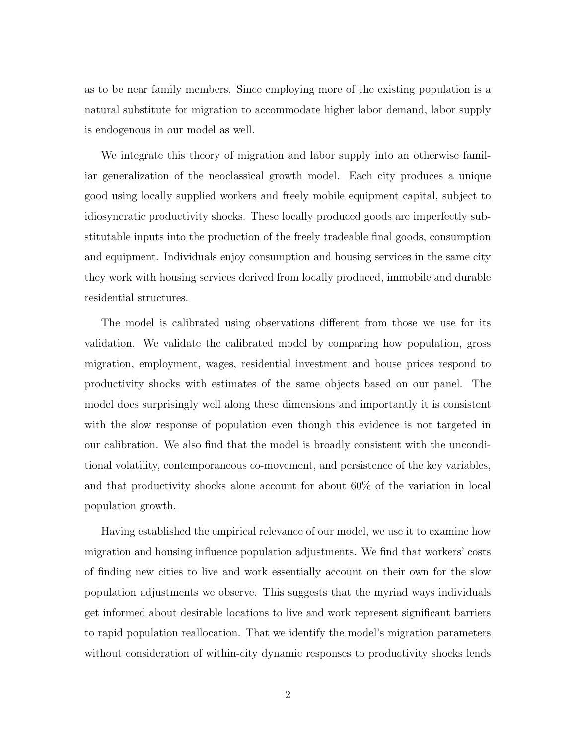as to be near family members. Since employing more of the existing population is a natural substitute for migration to accommodate higher labor demand, labor supply is endogenous in our model as well.

We integrate this theory of migration and labor supply into an otherwise familiar generalization of the neoclassical growth model. Each city produces a unique good using locally supplied workers and freely mobile equipment capital, subject to idiosyncratic productivity shocks. These locally produced goods are imperfectly substitutable inputs into the production of the freely tradeable final goods, consumption and equipment. Individuals enjoy consumption and housing services in the same city they work with housing services derived from locally produced, immobile and durable residential structures.

The model is calibrated using observations different from those we use for its validation. We validate the calibrated model by comparing how population, gross migration, employment, wages, residential investment and house prices respond to productivity shocks with estimates of the same objects based on our panel. The model does surprisingly well along these dimensions and importantly it is consistent with the slow response of population even though this evidence is not targeted in our calibration. We also find that the model is broadly consistent with the unconditional volatility, contemporaneous co-movement, and persistence of the key variables, and that productivity shocks alone account for about 60% of the variation in local population growth.

Having established the empirical relevance of our model, we use it to examine how migration and housing influence population adjustments. We find that workers' costs of finding new cities to live and work essentially account on their own for the slow population adjustments we observe. This suggests that the myriad ways individuals get informed about desirable locations to live and work represent significant barriers to rapid population reallocation. That we identify the model's migration parameters without consideration of within-city dynamic responses to productivity shocks lends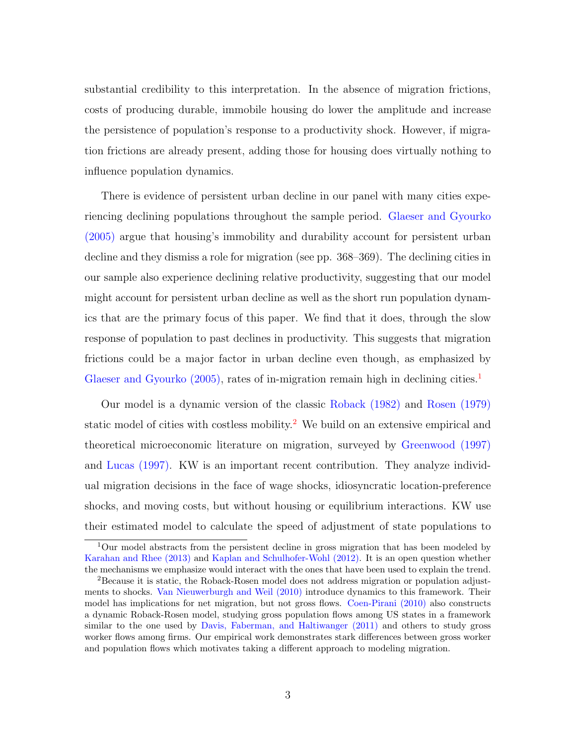substantial credibility to this interpretation. In the absence of migration frictions, costs of producing durable, immobile housing do lower the amplitude and increase the persistence of population's response to a productivity shock. However, if migration frictions are already present, adding those for housing does virtually nothing to influence population dynamics.

There is evidence of persistent urban decline in our panel with many cities experiencing declining populations throughout the sample period. [Glaeser and Gyourko](#page-47-1) [\(2005\)](#page-47-1) argue that housing's immobility and durability account for persistent urban decline and they dismiss a role for migration (see pp. 368–369). The declining cities in our sample also experience declining relative productivity, suggesting that our model might account for persistent urban decline as well as the short run population dynamics that are the primary focus of this paper. We find that it does, through the slow response of population to past declines in productivity. This suggests that migration frictions could be a major factor in urban decline even though, as emphasized by [Glaeser and Gyourko](#page-47-1) [\(2005\)](#page-47-1), rates of in-migration remain high in declining cities.<sup>[1](#page-0-0)</sup>

Our model is a dynamic version of the classic [Roback](#page-48-0) [\(1982\)](#page-48-0) and [Rosen](#page-48-1) [\(1979\)](#page-48-1) static model of cities with costless mobility.<sup>[2](#page-0-0)</sup> We build on an extensive empirical and theoretical microeconomic literature on migration, surveyed by [Greenwood](#page-47-2) [\(1997\)](#page-47-2) and [Lucas](#page-47-3) [\(1997\)](#page-47-3). KW is an important recent contribution. They analyze individual migration decisions in the face of wage shocks, idiosyncratic location-preference shocks, and moving costs, but without housing or equilibrium interactions. KW use their estimated model to calculate the speed of adjustment of state populations to

<sup>1</sup>Our model abstracts from the persistent decline in gross migration that has been modeled by [Karahan and Rhee](#page-47-4) [\(2013\)](#page-47-4) and [Kaplan and Schulhofer-Wohl](#page-47-5) [\(2012\)](#page-47-5). It is an open question whether the mechanisms we emphasize would interact with the ones that have been used to explain the trend.

<sup>2</sup>Because it is static, the Roback-Rosen model does not address migration or population adjustments to shocks. [Van Nieuwerburgh and Weil](#page-48-2) [\(2010\)](#page-48-2) introduce dynamics to this framework. Their model has implications for net migration, but not gross flows. [Coen-Pirani](#page-46-0) [\(2010\)](#page-46-0) also constructs a dynamic Roback-Rosen model, studying gross population flows among US states in a framework similar to the one used by [Davis, Faberman, and Haltiwanger](#page-46-1) [\(2011\)](#page-46-1) and others to study gross worker flows among firms. Our empirical work demonstrates stark differences between gross worker and population flows which motivates taking a different approach to modeling migration.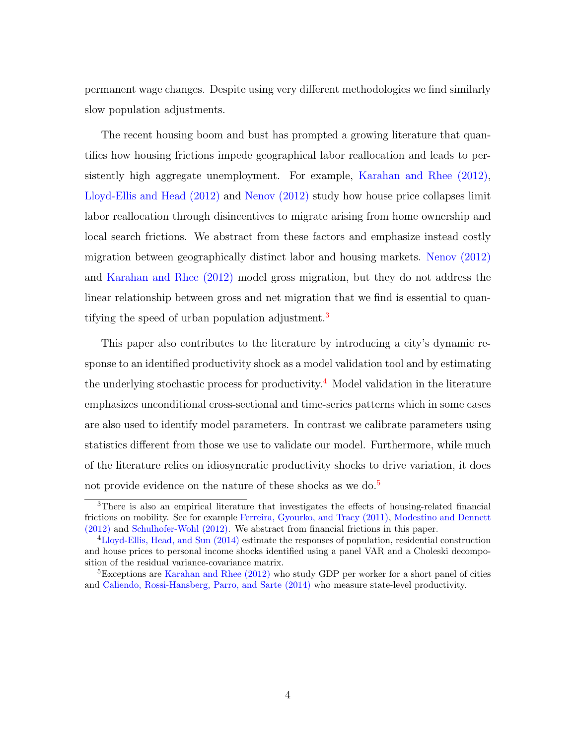permanent wage changes. Despite using very different methodologies we find similarly slow population adjustments.

The recent housing boom and bust has prompted a growing literature that quantifies how housing frictions impede geographical labor reallocation and leads to persistently high aggregate unemployment. For example, [Karahan and Rhee](#page-47-6) [\(2012\)](#page-47-6), [Lloyd-Ellis and Head](#page-47-7) [\(2012\)](#page-47-7) and [Nenov](#page-47-8) [\(2012\)](#page-47-8) study how house price collapses limit labor reallocation through disincentives to migrate arising from home ownership and local search frictions. We abstract from these factors and emphasize instead costly migration between geographically distinct labor and housing markets. [Nenov](#page-47-8) [\(2012\)](#page-47-8) and [Karahan and Rhee](#page-47-6) [\(2012\)](#page-47-6) model gross migration, but they do not address the linear relationship between gross and net migration that we find is essential to quan-tifying the speed of urban population adjustment.<sup>[3](#page-0-0)</sup>

This paper also contributes to the literature by introducing a city's dynamic response to an identified productivity shock as a model validation tool and by estimating the underlying stochastic process for productivity.<sup>[4](#page-0-0)</sup> Model validation in the literature emphasizes unconditional cross-sectional and time-series patterns which in some cases are also used to identify model parameters. In contrast we calibrate parameters using statistics different from those we use to validate our model. Furthermore, while much of the literature relies on idiosyncratic productivity shocks to drive variation, it does not provide evidence on the nature of these shocks as we do.<sup>[5](#page-0-0)</sup>

<sup>&</sup>lt;sup>3</sup>There is also an empirical literature that investigates the effects of housing-related financial frictions on mobility. See for example [Ferreira, Gyourko, and Tracy](#page-46-2) [\(2011\)](#page-46-2), [Modestino and Dennett](#page-47-9) [\(2012\)](#page-47-9) and [Schulhofer-Wohl](#page-48-3) [\(2012\)](#page-48-3). We abstract from financial frictions in this paper.

<sup>4</sup>[Lloyd-Ellis, Head, and Sun](#page-47-10) [\(2014\)](#page-47-10) estimate the responses of population, residential construction and house prices to personal income shocks identified using a panel VAR and a Choleski decomposition of the residual variance-covariance matrix.

<sup>&</sup>lt;sup>5</sup>Exceptions are [Karahan and Rhee](#page-47-6) [\(2012\)](#page-47-6) who study GDP per worker for a short panel of cities and [Caliendo, Rossi-Hansberg, Parro, and Sarte](#page-46-3) [\(2014\)](#page-46-3) who measure state-level productivity.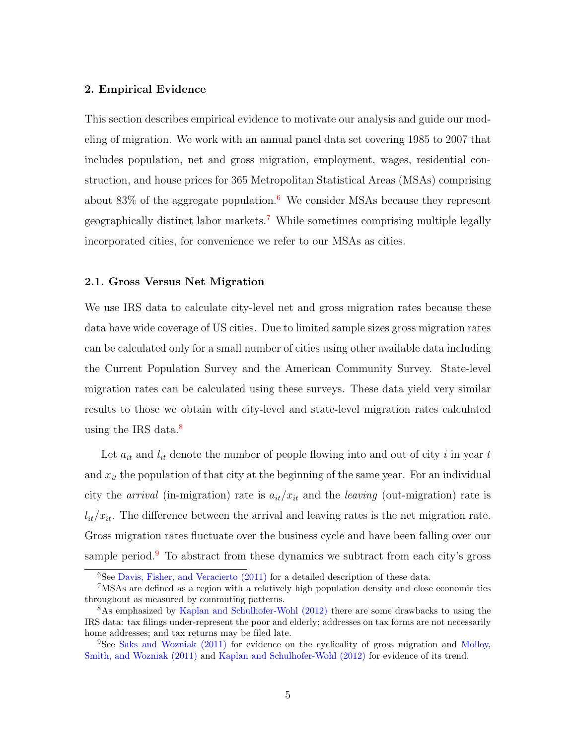# <span id="page-5-0"></span>2. Empirical Evidence

This section describes empirical evidence to motivate our analysis and guide our modeling of migration. We work with an annual panel data set covering 1985 to 2007 that includes population, net and gross migration, employment, wages, residential construction, and house prices for 365 Metropolitan Statistical Areas (MSAs) comprising about  $83\%$  of the aggregate population.<sup>[6](#page-0-0)</sup> We consider MSAs because they represent geographically distinct labor markets.[7](#page-0-0) While sometimes comprising multiple legally incorporated cities, for convenience we refer to our MSAs as cities.

#### 2.1. Gross Versus Net Migration

We use IRS data to calculate city-level net and gross migration rates because these data have wide coverage of US cities. Due to limited sample sizes gross migration rates can be calculated only for a small number of cities using other available data including the Current Population Survey and the American Community Survey. State-level migration rates can be calculated using these surveys. These data yield very similar results to those we obtain with city-level and state-level migration rates calculated using the IRS data. $\frac{8}{3}$  $\frac{8}{3}$  $\frac{8}{3}$ 

Let  $a_{it}$  and  $l_{it}$  denote the number of people flowing into and out of city i in year  $t$ and  $x_{it}$  the population of that city at the beginning of the same year. For an individual city the *arrival* (in-migration) rate is  $a_{it}/x_{it}$  and the *leaving* (out-migration) rate is  $l_{it}/x_{it}$ . The difference between the arrival and leaving rates is the net migration rate. Gross migration rates fluctuate over the business cycle and have been falling over our sample period.<sup>[9](#page-0-0)</sup> To abstract from these dynamics we subtract from each city's gross

 ${}^{6}$ See [Davis, Fisher, and Veracierto](#page-46-4) [\(2011\)](#page-46-4) for a detailed description of these data.

<sup>7</sup>MSAs are defined as a region with a relatively high population density and close economic ties throughout as measured by commuting patterns.

<sup>8</sup>As emphasized by [Kaplan and Schulhofer-Wohl](#page-47-5) [\(2012\)](#page-47-5) there are some drawbacks to using the IRS data: tax filings under-represent the poor and elderly; addresses on tax forms are not necessarily home addresses; and tax returns may be filed late.

<sup>9</sup>See [Saks and Wozniak](#page-48-4) [\(2011\)](#page-48-4) for evidence on the cyclicality of gross migration and [Molloy,](#page-47-11) [Smith, and Wozniak](#page-47-11) [\(2011\)](#page-47-11) and [Kaplan and Schulhofer-Wohl](#page-47-5) [\(2012\)](#page-47-5) for evidence of its trend.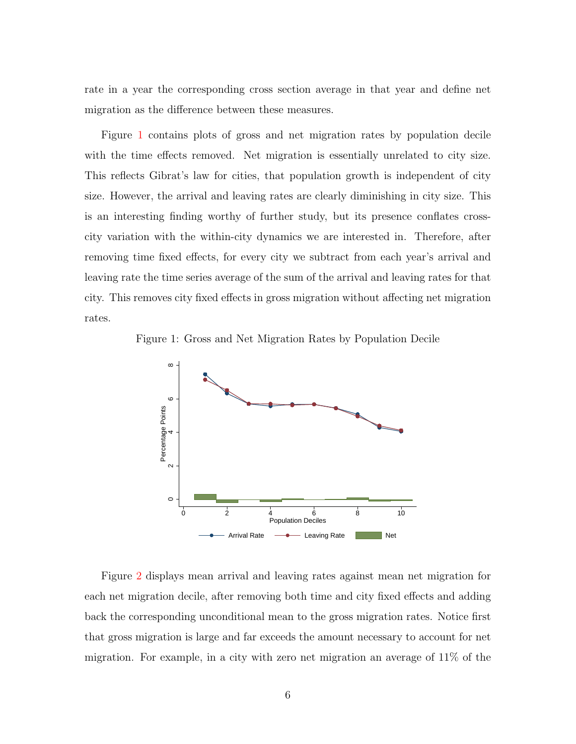rate in a year the corresponding cross section average in that year and define net migration as the difference between these measures.

Figure [1](#page-6-0) contains plots of gross and net migration rates by population decile with the time effects removed. Net migration is essentially unrelated to city size. This reflects Gibrat's law for cities, that population growth is independent of city size. However, the arrival and leaving rates are clearly diminishing in city size. This is an interesting finding worthy of further study, but its presence conflates crosscity variation with the within-city dynamics we are interested in. Therefore, after removing time fixed effects, for every city we subtract from each year's arrival and leaving rate the time series average of the sum of the arrival and leaving rates for that city. This removes city fixed effects in gross migration without affecting net migration rates.

Figure 1: Gross and Net Migration Rates by Population Decile

<span id="page-6-0"></span>

Figure [2](#page-7-0) displays mean arrival and leaving rates against mean net migration for each net migration decile, after removing both time and city fixed effects and adding back the corresponding unconditional mean to the gross migration rates. Notice first that gross migration is large and far exceeds the amount necessary to account for net migration. For example, in a city with zero net migration an average of 11% of the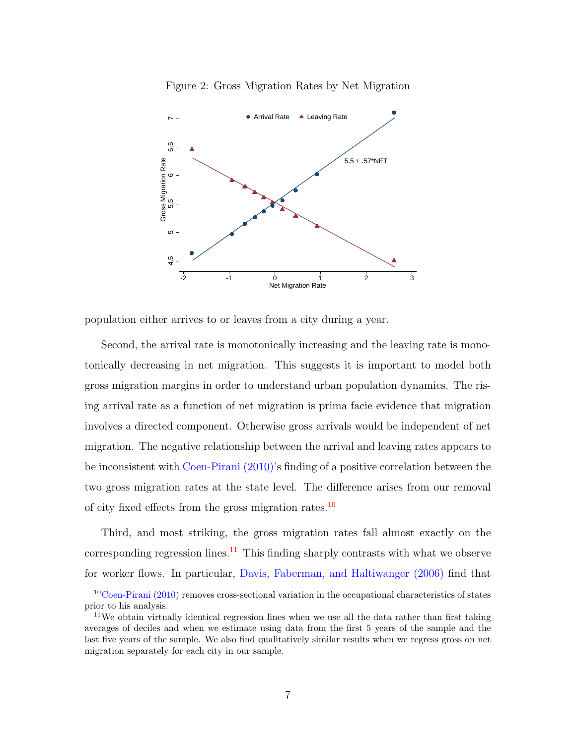<span id="page-7-0"></span>Figure 2: Gross Migration Rates by Net Migration



population either arrives to or leaves from a city during a year.

Second, the arrival rate is monotonically increasing and the leaving rate is monotonically decreasing in net migration. This suggests it is important to model both gross migration margins in order to understand urban population dynamics. The rising arrival rate as a function of net migration is prima facie evidence that migration involves a directed component. Otherwise gross arrivals would be independent of net migration. The negative relationship between the arrival and leaving rates appears to be inconsistent with [Coen-Pirani](#page-46-0) [\(2010\)](#page-46-0)'s finding of a positive correlation between the two gross migration rates at the state level. The difference arises from our removal of city fixed effects from the gross migration rates.<sup>[10](#page-0-0)</sup>

Third, and most striking, the gross migration rates fall almost exactly on the corresponding regression lines.<sup>[11](#page-0-0)</sup> This finding sharply contrasts with what we observe for worker flows. In particular, [Davis, Faberman, and Haltiwanger](#page-46-5) [\(2006\)](#page-46-5) find that

 $10^{\circ}$ [Coen-Pirani](#page-46-0) [\(2010\)](#page-46-0) removes cross-sectional variation in the occupational characteristics of states prior to his analysis.

<sup>&</sup>lt;sup>11</sup>We obtain virtually identical regression lines when we use all the data rather than first taking averages of deciles and when we estimate using data from the first 5 years of the sample and the last five years of the sample. We also find qualitatively similar results when we regress gross on net migration separately for each city in our sample.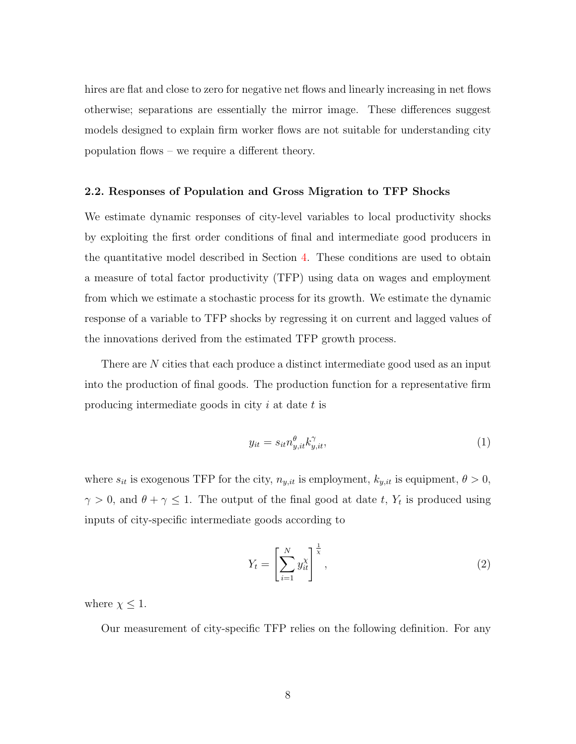hires are flat and close to zero for negative net flows and linearly increasing in net flows otherwise; separations are essentially the mirror image. These differences suggest models designed to explain firm worker flows are not suitable for understanding city population flows – we require a different theory.

# <span id="page-8-2"></span>2.2. Responses of Population and Gross Migration to TFP Shocks

We estimate dynamic responses of city-level variables to local productivity shocks by exploiting the first order conditions of final and intermediate good producers in the quantitative model described in Section [4.](#page-18-0) These conditions are used to obtain a measure of total factor productivity (TFP) using data on wages and employment from which we estimate a stochastic process for its growth. We estimate the dynamic response of a variable to TFP shocks by regressing it on current and lagged values of the innovations derived from the estimated TFP growth process.

There are N cities that each produce a distinct intermediate good used as an input into the production of final goods. The production function for a representative firm producing intermediate goods in city  $i$  at date  $t$  is

<span id="page-8-0"></span>
$$
y_{it} = s_{it} n_{y,it}^{\theta} k_{y,it}^{\gamma},\tag{1}
$$

where  $s_{it}$  is exogenous TFP for the city,  $n_{y,it}$  is employment,  $k_{y,it}$  is equipment,  $\theta > 0$ ,  $\gamma > 0$ , and  $\theta + \gamma \leq 1$ . The output of the final good at date t,  $Y_t$  is produced using inputs of city-specific intermediate goods according to

<span id="page-8-1"></span>
$$
Y_t = \left[\sum_{i=1}^N y_{it}^\chi\right]^{\frac{1}{\chi}},\tag{2}
$$

where  $\chi \leq 1$ .

Our measurement of city-specific TFP relies on the following definition. For any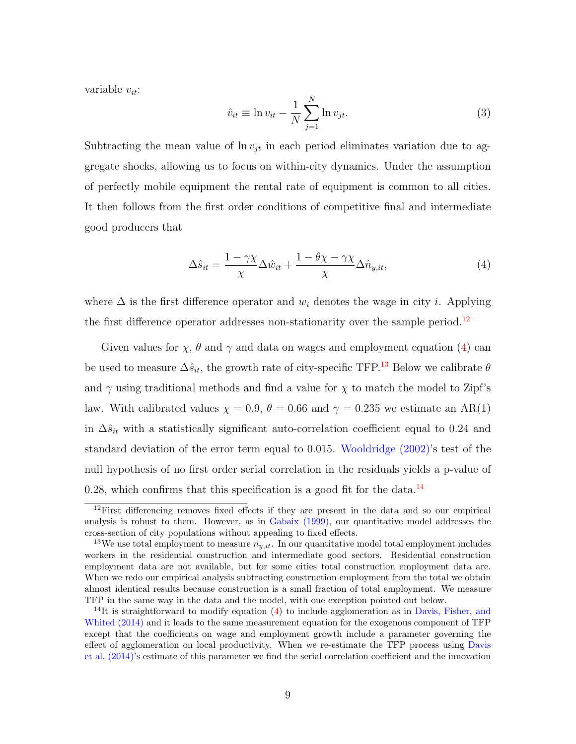variable  $v_{it}$ :

$$
\hat{v}_{it} \equiv \ln v_{it} - \frac{1}{N} \sum_{j=1}^{N} \ln v_{jt}.
$$
\n(3)

Subtracting the mean value of  $\ln v_{jt}$  in each period eliminates variation due to aggregate shocks, allowing us to focus on within-city dynamics. Under the assumption of perfectly mobile equipment the rental rate of equipment is common to all cities. It then follows from the first order conditions of competitive final and intermediate good producers that

<span id="page-9-0"></span>
$$
\Delta \hat{s}_{it} = \frac{1 - \gamma \chi}{\chi} \Delta \hat{w}_{it} + \frac{1 - \theta \chi - \gamma \chi}{\chi} \Delta \hat{n}_{y, it},\tag{4}
$$

where  $\Delta$  is the first difference operator and  $w_i$  denotes the wage in city *i*. Applying the first difference operator addresses non-stationarity over the sample period.<sup>[12](#page-0-0)</sup>

Given values for  $\chi$ ,  $\theta$  and  $\gamma$  and data on wages and employment equation [\(4\)](#page-9-0) can be used to measure  $\Delta \hat{s}_{it}$ , the growth rate of city-specific TFP.<sup>[13](#page-0-0)</sup> Below we calibrate  $\theta$ and  $\gamma$  using traditional methods and find a value for  $\chi$  to match the model to Zipf's law. With calibrated values  $\chi = 0.9$ ,  $\theta = 0.66$  and  $\gamma = 0.235$  we estimate an AR(1) in  $\Delta \hat{s}_{it}$  with a statistically significant auto-correlation coefficient equal to 0.24 and standard deviation of the error term equal to 0.015. [Wooldridge](#page-48-5) [\(2002\)](#page-48-5)'s test of the null hypothesis of no first order serial correlation in the residuals yields a p-value of 0.28, which confirms that this specification is a good fit for the data.<sup>[14](#page-0-0)</sup>

<sup>&</sup>lt;sup>12</sup>First differencing removes fixed effects if they are present in the data and so our empirical analysis is robust to them. However, as in [Gabaix](#page-46-6) [\(1999\)](#page-46-6), our quantitative model addresses the cross-section of city populations without appealing to fixed effects.

<sup>&</sup>lt;sup>13</sup>We use total employment to measure  $n_{y,it}$ . In our quantitative model total employment includes workers in the residential construction and intermediate good sectors. Residential construction employment data are not available, but for some cities total construction employment data are. When we redo our empirical analysis subtracting construction employment from the total we obtain almost identical results because construction is a small fraction of total employment. We measure TFP in the same way in the data and the model, with one exception pointed out below.

<sup>&</sup>lt;sup>14</sup>It is straightforward to modify equation  $(4)$  to include agglomeration as in [Davis, Fisher, and](#page-46-7) [Whited](#page-46-7) [\(2014\)](#page-46-7) and it leads to the same measurement equation for the exogenous component of TFP except that the coefficients on wage and employment growth include a parameter governing the effect of agglomeration on local productivity. When we re-estimate the TFP process using [Davis](#page-46-7) [et al.](#page-46-7) [\(2014\)](#page-46-7)'s estimate of this parameter we find the serial correlation coefficient and the innovation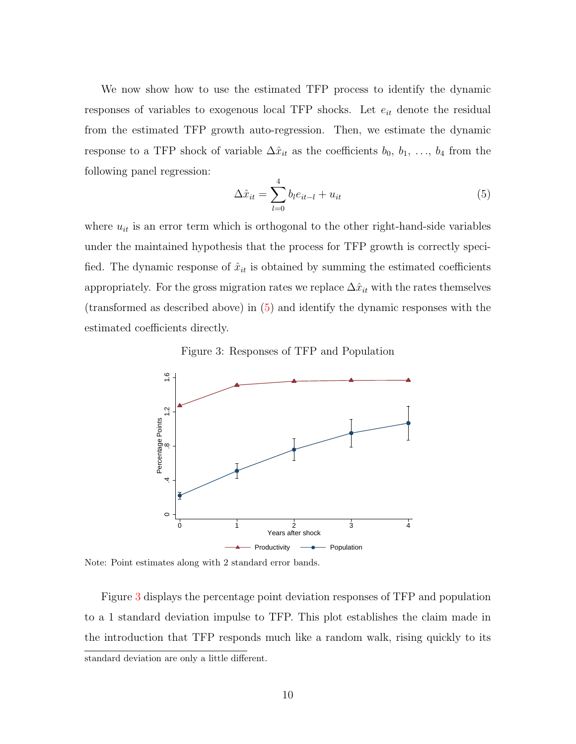We now show how to use the estimated TFP process to identify the dynamic responses of variables to exogenous local TFP shocks. Let  $e_{it}$  denote the residual from the estimated TFP growth auto-regression. Then, we estimate the dynamic response to a TFP shock of variable  $\Delta \hat{x}_{it}$  as the coefficients  $b_0, b_1, \ldots, b_4$  from the following panel regression:

<span id="page-10-0"></span>
$$
\Delta \hat{x}_{it} = \sum_{l=0}^{4} b_l e_{it-l} + u_{it} \tag{5}
$$

where  $u_{it}$  is an error term which is orthogonal to the other right-hand-side variables under the maintained hypothesis that the process for TFP growth is correctly specified. The dynamic response of  $\hat{x}_{it}$  is obtained by summing the estimated coefficients appropriately. For the gross migration rates we replace  $\Delta\hat{x}_{it}$  with the rates themselves (transformed as described above) in [\(5\)](#page-10-0) and identify the dynamic responses with the estimated coefficients directly.

<span id="page-10-1"></span>Figure 3: Responses of TFP and Population



Note: Point estimates along with 2 standard error bands.

Figure [3](#page-10-1) displays the percentage point deviation responses of TFP and population to a 1 standard deviation impulse to TFP. This plot establishes the claim made in the introduction that TFP responds much like a random walk, rising quickly to its standard deviation are only a little different.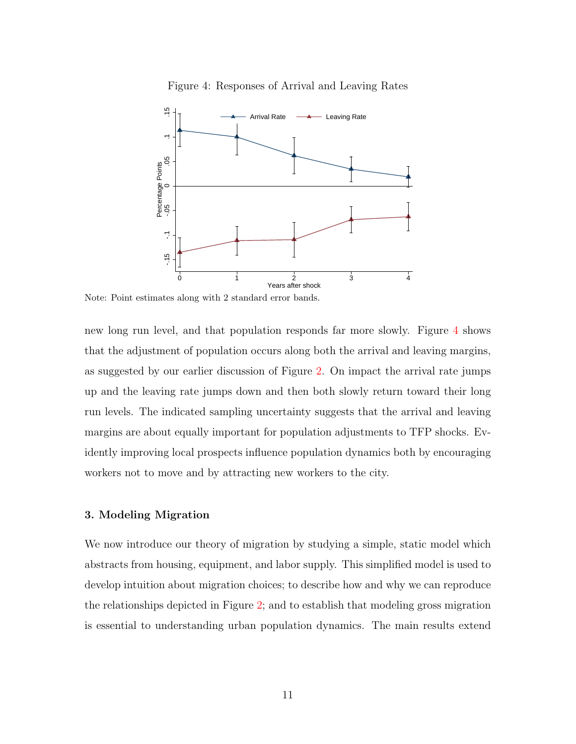

<span id="page-11-0"></span>Figure 4: Responses of Arrival and Leaving Rates

Note: Point estimates along with 2 standard error bands.

new long run level, and that population responds far more slowly. Figure [4](#page-11-0) shows that the adjustment of population occurs along both the arrival and leaving margins, as suggested by our earlier discussion of Figure [2.](#page-7-0) On impact the arrival rate jumps up and the leaving rate jumps down and then both slowly return toward their long run levels. The indicated sampling uncertainty suggests that the arrival and leaving margins are about equally important for population adjustments to TFP shocks. Evidently improving local prospects influence population dynamics both by encouraging workers not to move and by attracting new workers to the city.

#### <span id="page-11-1"></span>3. Modeling Migration

We now introduce our theory of migration by studying a simple, static model which abstracts from housing, equipment, and labor supply. This simplified model is used to develop intuition about migration choices; to describe how and why we can reproduce the relationships depicted in Figure [2;](#page-7-0) and to establish that modeling gross migration is essential to understanding urban population dynamics. The main results extend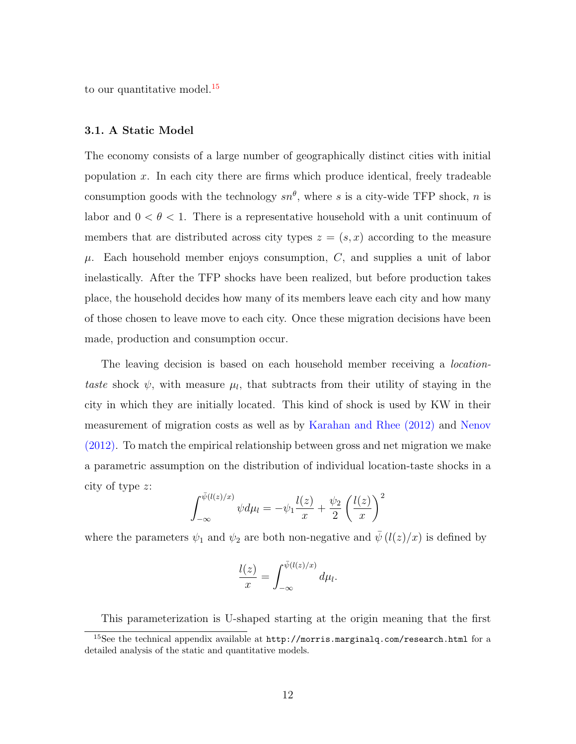to our quantitative model.<sup>[15](#page-0-0)</sup>

# 3.1. A Static Model

The economy consists of a large number of geographically distinct cities with initial population  $x$ . In each city there are firms which produce identical, freely tradeable consumption goods with the technology  $sn^{\theta}$ , where s is a city-wide TFP shock, n is labor and  $0 < \theta < 1$ . There is a representative household with a unit continuum of members that are distributed across city types  $z = (s, x)$  according to the measure  $\mu$ . Each household member enjoys consumption, C, and supplies a unit of labor inelastically. After the TFP shocks have been realized, but before production takes place, the household decides how many of its members leave each city and how many of those chosen to leave move to each city. Once these migration decisions have been made, production and consumption occur.

The leaving decision is based on each household member receiving a *location*taste shock  $\psi$ , with measure  $\mu_l$ , that subtracts from their utility of staying in the city in which they are initially located. This kind of shock is used by KW in their measurement of migration costs as well as by [Karahan and Rhee](#page-47-6) [\(2012\)](#page-47-6) and [Nenov](#page-47-8) [\(2012\)](#page-47-8). To match the empirical relationship between gross and net migration we make a parametric assumption on the distribution of individual location-taste shocks in a city of type z:

$$
\int_{-\infty}^{\bar{\psi}(l(z)/x)} \psi d\mu_l = -\psi_1 \frac{l(z)}{x} + \frac{\psi_2}{2} \left(\frac{l(z)}{x}\right)^2
$$

where the parameters  $\psi_1$  and  $\psi_2$  are both non-negative and  $\bar{\psi}$  ( $l(z)/x$ ) is defined by

$$
\frac{l(z)}{x} = \int_{-\infty}^{\bar{\psi}(l(z)/x)} d\mu_l.
$$

This parameterization is U-shaped starting at the origin meaning that the first

<sup>15</sup>See the technical appendix available at http://morris.marginalq.com/research.html for a detailed analysis of the static and quantitative models.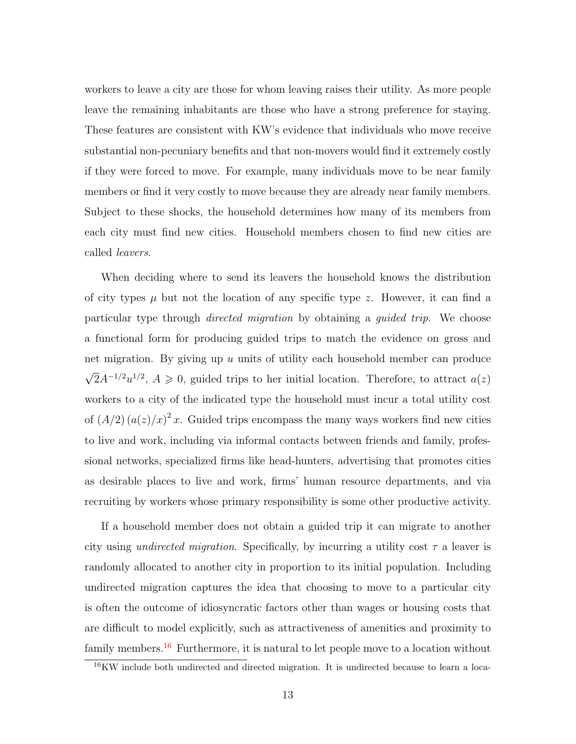workers to leave a city are those for whom leaving raises their utility. As more people leave the remaining inhabitants are those who have a strong preference for staying. These features are consistent with KW's evidence that individuals who move receive substantial non-pecuniary benefits and that non-movers would find it extremely costly if they were forced to move. For example, many individuals move to be near family members or find it very costly to move because they are already near family members. Subject to these shocks, the household determines how many of its members from each city must find new cities. Household members chosen to find new cities are called leavers.

When deciding where to send its leavers the household knows the distribution of city types  $\mu$  but not the location of any specific type z. However, it can find a particular type through directed migration by obtaining a guided trip. We choose a functional form for producing guided trips to match the evidence on gross and net migration. By giving up u units of utility each household member can produce √  $\overline{2}A^{-1/2}u^{1/2}, A \geq 0$ , guided trips to her initial location. Therefore, to attract  $a(z)$ workers to a city of the indicated type the household must incur a total utility cost of  $(A/2) (a(z)/x)^2 x$ . Guided trips encompass the many ways workers find new cities to live and work, including via informal contacts between friends and family, professional networks, specialized firms like head-hunters, advertising that promotes cities as desirable places to live and work, firms' human resource departments, and via recruiting by workers whose primary responsibility is some other productive activity.

If a household member does not obtain a guided trip it can migrate to another city using *undirected migration*. Specifically, by incurring a utility cost  $\tau$  a leaver is randomly allocated to another city in proportion to its initial population. Including undirected migration captures the idea that choosing to move to a particular city is often the outcome of idiosyncratic factors other than wages or housing costs that are difficult to model explicitly, such as attractiveness of amenities and proximity to family members.<sup>[16](#page-0-0)</sup> Furthermore, it is natural to let people move to a location without

<sup>&</sup>lt;sup>16</sup>KW include both undirected and directed migration. It is undirected because to learn a loca-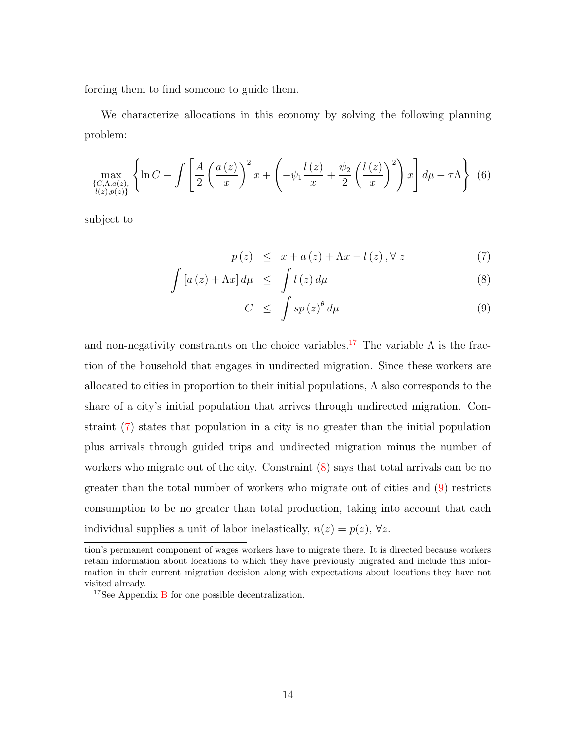forcing them to find someone to guide them.

We characterize allocations in this economy by solving the following planning problem:

$$
\max_{\{C,\Lambda,a(z),\atop l(z),p(z)\}} \left\{ \ln C - \int \left[ \frac{A}{2} \left( \frac{a(z)}{x} \right)^2 x + \left( -\psi_1 \frac{l(z)}{x} + \frac{\psi_2}{2} \left( \frac{l(z)}{x} \right)^2 \right) x \right] d\mu - \tau \Lambda \right\} (6)
$$

subject to

<span id="page-14-0"></span>
$$
p(z) \leq x + a(z) + \Lambda x - l(z), \forall z \tag{7}
$$

$$
\int \left[ a\left( z\right) +\Lambda x\right] d\mu \leq \int l\left( z\right) d\mu \tag{8}
$$

$$
C \leq \int s p(z)^{\theta} d\mu \tag{9}
$$

and non-negativity constraints on the choice variables.<sup>[17](#page-0-0)</sup> The variable  $\Lambda$  is the fraction of the household that engages in undirected migration. Since these workers are allocated to cities in proportion to their initial populations,  $\Lambda$  also corresponds to the share of a city's initial population that arrives through undirected migration. Constraint [\(7\)](#page-14-0) states that population in a city is no greater than the initial population plus arrivals through guided trips and undirected migration minus the number of workers who migrate out of the city. Constraint [\(8\)](#page-14-0) says that total arrivals can be no greater than the total number of workers who migrate out of cities and [\(9\)](#page-14-0) restricts consumption to be no greater than total production, taking into account that each individual supplies a unit of labor inelastically,  $n(z) = p(z)$ ,  $\forall z$ .

tion's permanent component of wages workers have to migrate there. It is directed because workers retain information about locations to which they have previously migrated and include this information in their current migration decision along with expectations about locations they have not visited already.

 $17$ See Appendix [B](#page-50-0) for one possible decentralization.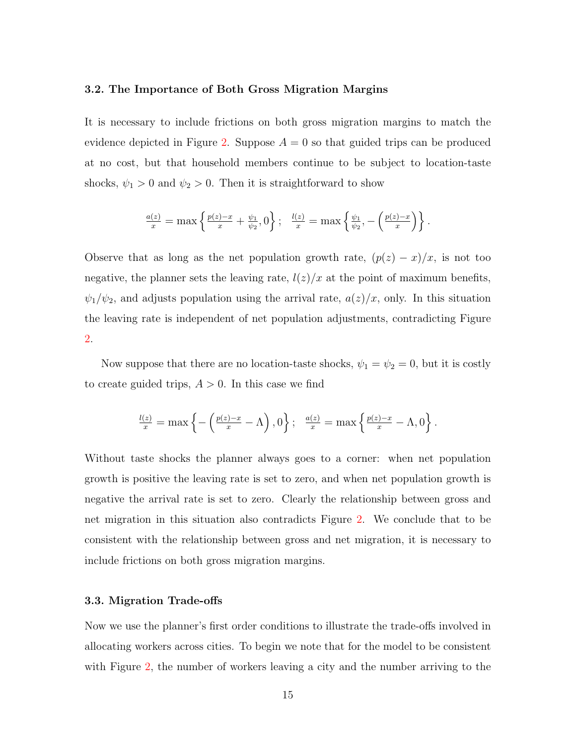# 3.2. The Importance of Both Gross Migration Margins

It is necessary to include frictions on both gross migration margins to match the evidence depicted in Figure [2.](#page-7-0) Suppose  $A = 0$  so that guided trips can be produced at no cost, but that household members continue to be subject to location-taste shocks,  $\psi_1 > 0$  and  $\psi_2 > 0$ . Then it is straightforward to show

$$
\frac{a(z)}{x} = \max \left\{ \frac{p(z) - x}{x} + \frac{\psi_1}{\psi_2}, 0 \right\}; \quad \frac{l(z)}{x} = \max \left\{ \frac{\psi_1}{\psi_2}, -\left( \frac{p(z) - x}{x} \right) \right\}.
$$

Observe that as long as the net population growth rate,  $(p(z) - x)/x$ , is not too negative, the planner sets the leaving rate,  $l(z)/x$  at the point of maximum benefits,  $\psi_1/\psi_2$ , and adjusts population using the arrival rate,  $a(z)/x$ , only. In this situation the leaving rate is independent of net population adjustments, contradicting Figure [2.](#page-7-0)

Now suppose that there are no location-taste shocks,  $\psi_1 = \psi_2 = 0$ , but it is costly to create guided trips,  $A > 0$ . In this case we find

$$
\frac{l(z)}{x} = \max\left\{-\left(\frac{p(z)-x}{x}-\Lambda\right),0\right\}; \quad \frac{a(z)}{x} = \max\left\{\frac{p(z)-x}{x}-\Lambda,0\right\}.
$$

Without taste shocks the planner always goes to a corner: when net population growth is positive the leaving rate is set to zero, and when net population growth is negative the arrival rate is set to zero. Clearly the relationship between gross and net migration in this situation also contradicts Figure [2.](#page-7-0) We conclude that to be consistent with the relationship between gross and net migration, it is necessary to include frictions on both gross migration margins.

# 3.3. Migration Trade-offs

Now we use the planner's first order conditions to illustrate the trade-offs involved in allocating workers across cities. To begin we note that for the model to be consistent with Figure [2,](#page-7-0) the number of workers leaving a city and the number arriving to the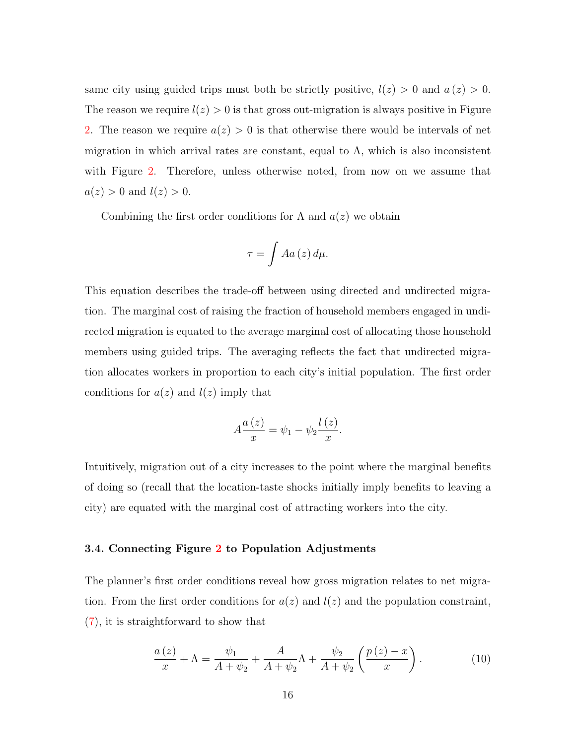same city using guided trips must both be strictly positive,  $l(z) > 0$  and  $a(z) > 0$ . The reason we require  $l(z) > 0$  is that gross out-migration is always positive in Figure [2.](#page-7-0) The reason we require  $a(z) > 0$  is that otherwise there would be intervals of net migration in which arrival rates are constant, equal to  $\Lambda$ , which is also inconsistent with Figure [2.](#page-7-0) Therefore, unless otherwise noted, from now on we assume that  $a(z) > 0$  and  $l(z) > 0$ .

Combining the first order conditions for  $\Lambda$  and  $a(z)$  we obtain

$$
\tau = \int A a(z) \, d\mu.
$$

This equation describes the trade-off between using directed and undirected migration. The marginal cost of raising the fraction of household members engaged in undirected migration is equated to the average marginal cost of allocating those household members using guided trips. The averaging reflects the fact that undirected migration allocates workers in proportion to each city's initial population. The first order conditions for  $a(z)$  and  $l(z)$  imply that

$$
A\frac{a(z)}{x} = \psi_1 - \psi_2 \frac{l(z)}{x}.
$$

Intuitively, migration out of a city increases to the point where the marginal benefits of doing so (recall that the location-taste shocks initially imply benefits to leaving a city) are equated with the marginal cost of attracting workers into the city.

# <span id="page-16-1"></span>3.4. Connecting Figure [2](#page-7-0) to Population Adjustments

The planner's first order conditions reveal how gross migration relates to net migration. From the first order conditions for  $a(z)$  and  $l(z)$  and the population constraint, [\(7\)](#page-14-0), it is straightforward to show that

<span id="page-16-0"></span>
$$
\frac{a(z)}{x} + \Lambda = \frac{\psi_1}{A + \psi_2} + \frac{A}{A + \psi_2} \Lambda + \frac{\psi_2}{A + \psi_2} \left(\frac{p(z) - x}{x}\right). \tag{10}
$$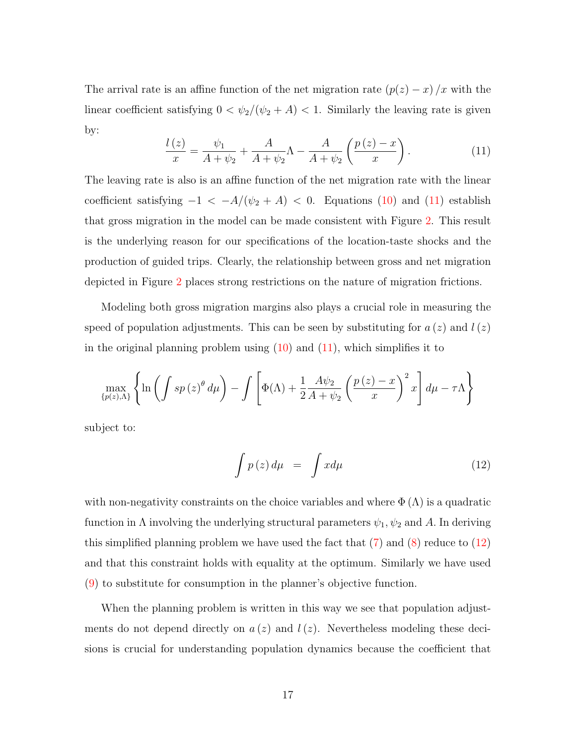The arrival rate is an affine function of the net migration rate  $(p(z) - x)/x$  with the linear coefficient satisfying  $0 < \psi_2/(\psi_2 + A) < 1$ . Similarly the leaving rate is given by:

<span id="page-17-0"></span>
$$
\frac{l(z)}{x} = \frac{\psi_1}{A + \psi_2} + \frac{A}{A + \psi_2} \Lambda - \frac{A}{A + \psi_2} \left(\frac{p(z) - x}{x}\right).
$$
 (11)

The leaving rate is also is an affine function of the net migration rate with the linear coefficient satisfying  $-1 < -A/(\psi_2 + A) < 0$ . Equations [\(10\)](#page-16-0) and [\(11\)](#page-17-0) establish that gross migration in the model can be made consistent with Figure [2.](#page-7-0) This result is the underlying reason for our specifications of the location-taste shocks and the production of guided trips. Clearly, the relationship between gross and net migration depicted in Figure [2](#page-7-0) places strong restrictions on the nature of migration frictions.

Modeling both gross migration margins also plays a crucial role in measuring the speed of population adjustments. This can be seen by substituting for  $a(z)$  and  $l(z)$ in the original planning problem using  $(10)$  and  $(11)$ , which simplifies it to

$$
\max_{\{p(z),\Lambda\}} \left\{ \ln \left( \int sp(z)^{\theta} d\mu \right) - \int \left[ \Phi(\Lambda) + \frac{1}{2} \frac{A \psi_2}{A + \psi_2} \left( \frac{p(z) - x}{x} \right)^2 x \right] d\mu - \tau \Lambda \right\}
$$

subject to:

<span id="page-17-1"></span>
$$
\int p(z) d\mu = \int x d\mu \tag{12}
$$

with non-negativity constraints on the choice variables and where  $\Phi(\Lambda)$  is a quadratic function in  $\Lambda$  involving the underlying structural parameters  $\psi_1, \psi_2$  and A. In deriving this simplified planning problem we have used the fact that  $(7)$  and  $(8)$  reduce to  $(12)$ and that this constraint holds with equality at the optimum. Similarly we have used [\(9\)](#page-14-0) to substitute for consumption in the planner's objective function.

When the planning problem is written in this way we see that population adjustments do not depend directly on  $a(z)$  and  $l(z)$ . Nevertheless modeling these decisions is crucial for understanding population dynamics because the coefficient that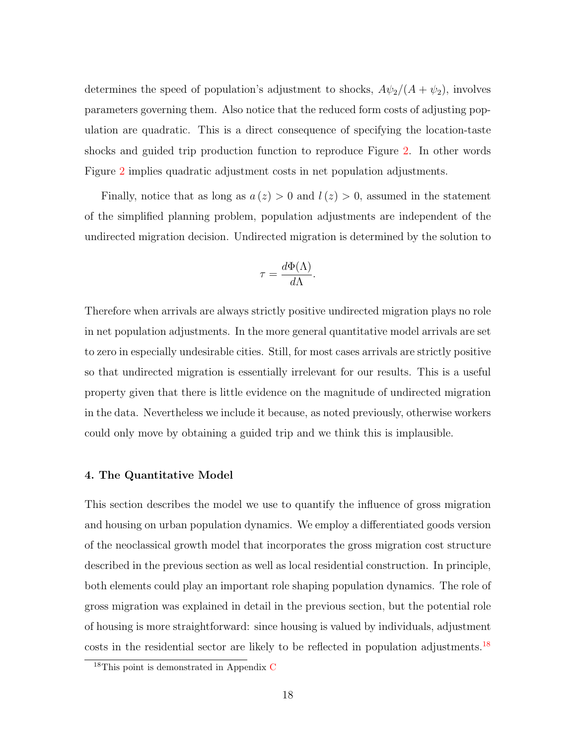determines the speed of population's adjustment to shocks,  $A\psi_2/(A + \psi_2)$ , involves parameters governing them. Also notice that the reduced form costs of adjusting population are quadratic. This is a direct consequence of specifying the location-taste shocks and guided trip production function to reproduce Figure [2.](#page-7-0) In other words Figure [2](#page-7-0) implies quadratic adjustment costs in net population adjustments.

Finally, notice that as long as  $a(z) > 0$  and  $l(z) > 0$ , assumed in the statement of the simplified planning problem, population adjustments are independent of the undirected migration decision. Undirected migration is determined by the solution to

$$
\tau = \frac{d\Phi(\Lambda)}{d\Lambda}.
$$

Therefore when arrivals are always strictly positive undirected migration plays no role in net population adjustments. In the more general quantitative model arrivals are set to zero in especially undesirable cities. Still, for most cases arrivals are strictly positive so that undirected migration is essentially irrelevant for our results. This is a useful property given that there is little evidence on the magnitude of undirected migration in the data. Nevertheless we include it because, as noted previously, otherwise workers could only move by obtaining a guided trip and we think this is implausible.

# <span id="page-18-0"></span>4. The Quantitative Model

This section describes the model we use to quantify the influence of gross migration and housing on urban population dynamics. We employ a differentiated goods version of the neoclassical growth model that incorporates the gross migration cost structure described in the previous section as well as local residential construction. In principle, both elements could play an important role shaping population dynamics. The role of gross migration was explained in detail in the previous section, but the potential role of housing is more straightforward: since housing is valued by individuals, adjustment costs in the residential sector are likely to be reflected in population adjustments.<sup>[18](#page-0-0)</sup>

<sup>&</sup>lt;sup>18</sup>This point is demonstrated in Appendix [C](#page-51-0)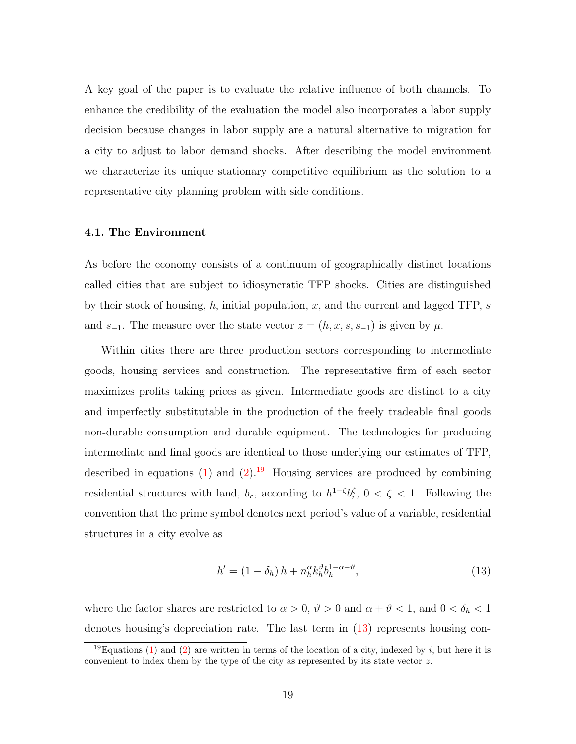A key goal of the paper is to evaluate the relative influence of both channels. To enhance the credibility of the evaluation the model also incorporates a labor supply decision because changes in labor supply are a natural alternative to migration for a city to adjust to labor demand shocks. After describing the model environment we characterize its unique stationary competitive equilibrium as the solution to a representative city planning problem with side conditions.

### 4.1. The Environment

As before the economy consists of a continuum of geographically distinct locations called cities that are subject to idiosyncratic TFP shocks. Cities are distinguished by their stock of housing, h, initial population, x, and the current and lagged TFP, s and  $s_{-1}$ . The measure over the state vector  $z = (h, x, s, s_{-1})$  is given by  $\mu$ .

Within cities there are three production sectors corresponding to intermediate goods, housing services and construction. The representative firm of each sector maximizes profits taking prices as given. Intermediate goods are distinct to a city and imperfectly substitutable in the production of the freely tradeable final goods non-durable consumption and durable equipment. The technologies for producing intermediate and final goods are identical to those underlying our estimates of TFP, described in equations [\(1\)](#page-8-0) and [\(2\)](#page-8-1).<sup>[19](#page-0-0)</sup> Housing services are produced by combining residential structures with land,  $b_r$ , according to  $h^{1-\zeta}b_r^{\zeta}$ ,  $0 < \zeta < 1$ . Following the convention that the prime symbol denotes next period's value of a variable, residential structures in a city evolve as

<span id="page-19-0"></span>
$$
h' = (1 - \delta_h) h + n_h^{\alpha} k_h^{\vartheta} b_h^{1 - \alpha - \vartheta}, \tag{13}
$$

where the factor shares are restricted to  $\alpha > 0$ ,  $\vartheta > 0$  and  $\alpha + \vartheta < 1$ , and  $0 < \delta_h < 1$ denotes housing's depreciation rate. The last term in [\(13\)](#page-19-0) represents housing con-

<sup>&</sup>lt;sup>19</sup>Equations [\(1\)](#page-8-0) and [\(2\)](#page-8-1) are written in terms of the location of a city, indexed by i, but here it is convenient to index them by the type of the city as represented by its state vector z.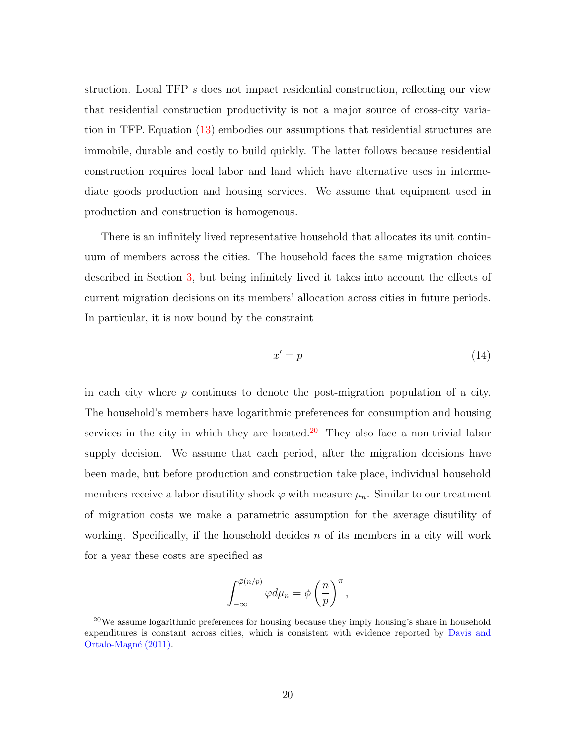struction. Local TFP s does not impact residential construction, reflecting our view that residential construction productivity is not a major source of cross-city variation in TFP. Equation [\(13\)](#page-19-0) embodies our assumptions that residential structures are immobile, durable and costly to build quickly. The latter follows because residential construction requires local labor and land which have alternative uses in intermediate goods production and housing services. We assume that equipment used in production and construction is homogenous.

There is an infinitely lived representative household that allocates its unit continuum of members across the cities. The household faces the same migration choices described in Section [3,](#page-11-1) but being infinitely lived it takes into account the effects of current migration decisions on its members' allocation across cities in future periods. In particular, it is now bound by the constraint

<span id="page-20-0"></span>
$$
x' = p \tag{14}
$$

in each city where  $p$  continues to denote the post-migration population of a city. The household's members have logarithmic preferences for consumption and housing services in the city in which they are located.<sup>[20](#page-0-0)</sup> They also face a non-trivial labor supply decision. We assume that each period, after the migration decisions have been made, but before production and construction take place, individual household members receive a labor disutility shock  $\varphi$  with measure  $\mu_n$ . Similar to our treatment of migration costs we make a parametric assumption for the average disutility of working. Specifically, if the household decides  $n$  of its members in a city will work for a year these costs are specified as

$$
\int_{-\infty}^{\bar{\varphi}(n/p)} \varphi d\mu_n = \phi \left(\frac{n}{p}\right)^{\pi},
$$

 $20$ We assume logarithmic preferences for housing because they imply housing's share in household expenditures is constant across cities, which is consistent with evidence reported by [Davis and](#page-46-8) Ortalo-Magné [\(2011\)](#page-46-8).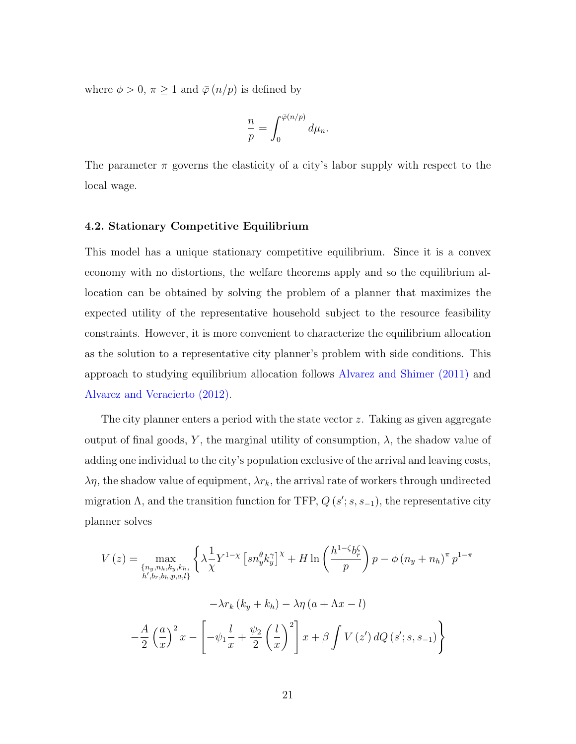where  $\phi > 0$ ,  $\pi \geq 1$  and  $\bar{\varphi}(n/p)$  is defined by

$$
\frac{n}{p} = \int_0^{\bar{\varphi}(n/p)} d\mu_n.
$$

The parameter  $\pi$  governs the elasticity of a city's labor supply with respect to the local wage.

# 4.2. Stationary Competitive Equilibrium

This model has a unique stationary competitive equilibrium. Since it is a convex economy with no distortions, the welfare theorems apply and so the equilibrium allocation can be obtained by solving the problem of a planner that maximizes the expected utility of the representative household subject to the resource feasibility constraints. However, it is more convenient to characterize the equilibrium allocation as the solution to a representative city planner's problem with side conditions. This approach to studying equilibrium allocation follows [Alvarez and Shimer](#page-46-9) [\(2011\)](#page-46-9) and [Alvarez and Veracierto](#page-46-10) [\(2012\)](#page-46-10).

The city planner enters a period with the state vector z. Taking as given aggregate output of final goods, Y, the marginal utility of consumption,  $\lambda$ , the shadow value of adding one individual to the city's population exclusive of the arrival and leaving costs,  $\lambda \eta$ , the shadow value of equipment,  $\lambda r_k$ , the arrival rate of workers through undirected migration  $\Lambda$ , and the transition function for TFP,  $Q(s'; s, s_{-1})$ , the representative city planner solves

$$
V(z) = \max_{\substack{\{n_y, n_h, k_y, k_h\} \\ h', b_r, b_h, p, a, l\}}} \left\{ \lambda \frac{1}{\chi} Y^{1-\chi} \left[ sn_y^{\theta} k_y^{\gamma} \right]^{\chi} + H \ln \left( \frac{h^{1-\zeta} b_r^{\zeta}}{p} \right) p - \phi \left( n_y + n_h \right)^{\pi} p^{1-\pi} \right\}
$$

$$
- \lambda r_k \left( k_y + k_h \right) - \lambda \eta \left( a + \Lambda x - l \right)
$$

$$
- \frac{A}{2} \left( \frac{a}{x} \right)^2 x - \left[ -\psi_1 \frac{l}{x} + \frac{\psi_2}{2} \left( \frac{l}{x} \right)^2 \right] x + \beta \int V(z') \, dQ \left( s'; s, s_{-1} \right) \right\}
$$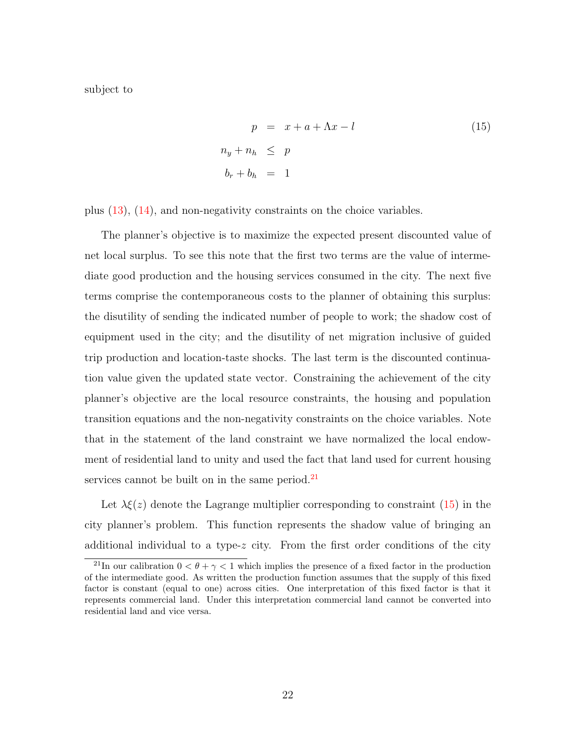subject to

<span id="page-22-0"></span>
$$
p = x + a + \Lambda x - l
$$
  
\n
$$
n_y + n_h \leq p
$$
  
\n
$$
b_r + b_h = 1
$$
\n(15)

plus [\(13\)](#page-19-0), [\(14\)](#page-20-0), and non-negativity constraints on the choice variables.

The planner's objective is to maximize the expected present discounted value of net local surplus. To see this note that the first two terms are the value of intermediate good production and the housing services consumed in the city. The next five terms comprise the contemporaneous costs to the planner of obtaining this surplus: the disutility of sending the indicated number of people to work; the shadow cost of equipment used in the city; and the disutility of net migration inclusive of guided trip production and location-taste shocks. The last term is the discounted continuation value given the updated state vector. Constraining the achievement of the city planner's objective are the local resource constraints, the housing and population transition equations and the non-negativity constraints on the choice variables. Note that in the statement of the land constraint we have normalized the local endowment of residential land to unity and used the fact that land used for current housing services cannot be built on in the same period. $^{21}$  $^{21}$  $^{21}$ 

Let  $\lambda \xi(z)$  denote the Lagrange multiplier corresponding to constraint  $(15)$  in the city planner's problem. This function represents the shadow value of bringing an additional individual to a type- $z$  city. From the first order conditions of the city

<sup>&</sup>lt;sup>21</sup>In our calibration  $0 < \theta + \gamma < 1$  which implies the presence of a fixed factor in the production of the intermediate good. As written the production function assumes that the supply of this fixed factor is constant (equal to one) across cities. One interpretation of this fixed factor is that it represents commercial land. Under this interpretation commercial land cannot be converted into residential land and vice versa.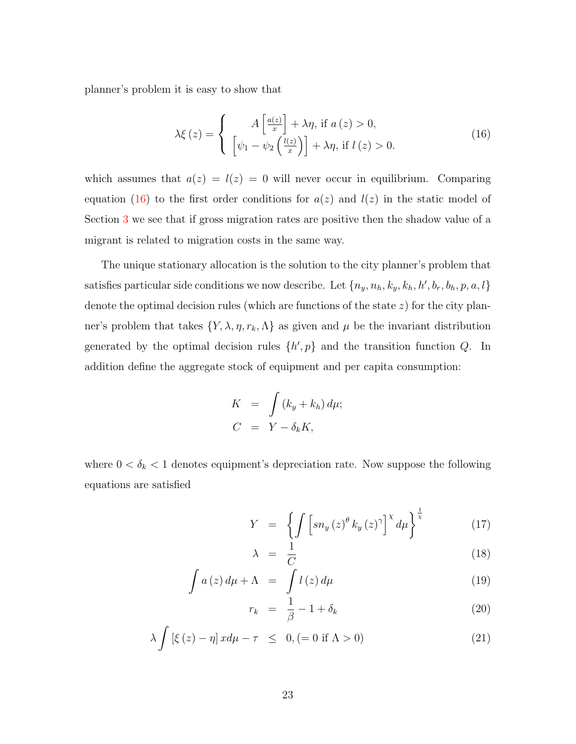planner's problem it is easy to show that

<span id="page-23-0"></span>
$$
\lambda \xi(z) = \begin{cases}\nA\left[\frac{a(z)}{x}\right] + \lambda \eta, \text{ if } a(z) > 0, \\
\left[\psi_1 - \psi_2\left(\frac{l(z)}{x}\right)\right] + \lambda \eta, \text{ if } l(z) > 0.\n\end{cases}
$$
\n(16)

which assumes that  $a(z) = l(z) = 0$  will never occur in equilibrium. Comparing equation [\(16\)](#page-23-0) to the first order conditions for  $a(z)$  and  $l(z)$  in the static model of Section [3](#page-11-1) we see that if gross migration rates are positive then the shadow value of a migrant is related to migration costs in the same way.

The unique stationary allocation is the solution to the city planner's problem that satisfies particular side conditions we now describe. Let  $\{n_y, n_h, k_y, k_h, h', b_r, b_h, p, a, l\}$ denote the optimal decision rules (which are functions of the state z) for the city planner's problem that takes  $\{Y, \lambda, \eta, r_k, \Lambda\}$  as given and  $\mu$  be the invariant distribution generated by the optimal decision rules  $\{h', p\}$  and the transition function Q. In addition define the aggregate stock of equipment and per capita consumption:

$$
K = \int (k_y + k_h) d\mu;
$$
  
\n
$$
C = Y - \delta_k K,
$$

where  $0 < \delta_k < 1$  denotes equipment's depreciation rate. Now suppose the following equations are satisfied

<span id="page-23-1"></span>
$$
Y = \left\{ \int \left[ sn_y \left( z \right)^{\theta} k_y \left( z \right)^{\gamma} \right]^x d\mu \right\}^{\frac{1}{\chi}} \tag{17}
$$

$$
\lambda = \frac{1}{C} \tag{18}
$$

$$
\int a(z) d\mu + \Lambda = \int l(z) d\mu \tag{19}
$$

$$
r_k = \frac{1}{\beta} - 1 + \delta_k \tag{20}
$$

$$
\lambda \int \left[ \xi(z) - \eta \right] x d\mu - \tau \leq 0, (= 0 \text{ if } \Lambda > 0)
$$
\n(21)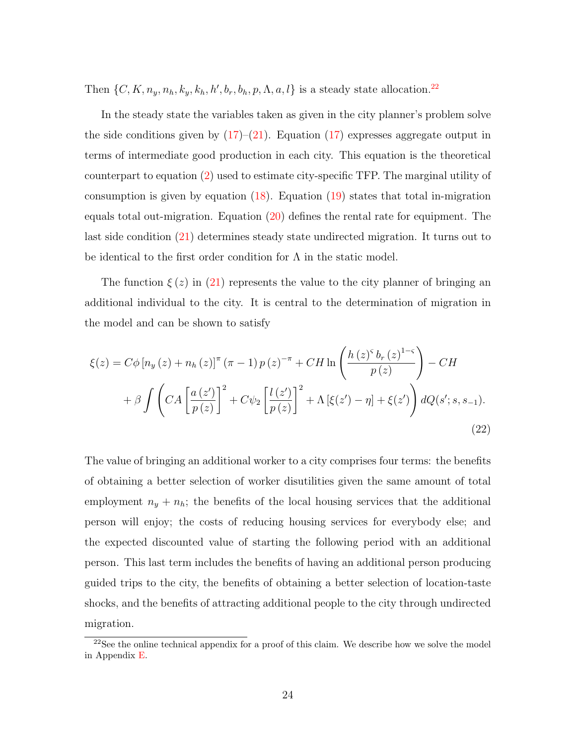Then  $\{C, K, n_y, n_h, k_y, k_h, h', b_r, b_h, p, \Lambda, a, l\}$  is a steady state allocation.<sup>[22](#page-0-0)</sup>

In the steady state the variables taken as given in the city planner's problem solve the side conditions given by  $(17)-(21)$  $(17)-(21)$ . Equation  $(17)$  expresses aggregate output in terms of intermediate good production in each city. This equation is the theoretical counterpart to equation [\(2\)](#page-8-1) used to estimate city-specific TFP. The marginal utility of consumption is given by equation  $(18)$ . Equation  $(19)$  states that total in-migration equals total out-migration. Equation [\(20\)](#page-23-1) defines the rental rate for equipment. The last side condition [\(21\)](#page-23-1) determines steady state undirected migration. It turns out to be identical to the first order condition for  $\Lambda$  in the static model.

The function  $\xi(z)$  in [\(21\)](#page-23-1) represents the value to the city planner of bringing an additional individual to the city. It is central to the determination of migration in the model and can be shown to satisfy

<span id="page-24-0"></span>
$$
\xi(z) = C\phi \left[ n_y(z) + n_h(z) \right]^\pi (\pi - 1) p(z)^{-\pi} + CH \ln \left( \frac{h(z)^5 b_r(z)^{1-\varsigma}}{p(z)} \right) - CH + \beta \int \left( CA \left[ \frac{a(z')}{p(z)} \right]^2 + C\psi_2 \left[ \frac{l(z')}{p(z)} \right]^2 + \Lambda \left[ \xi(z') - \eta \right] + \xi(z') \right) dQ(s'; s, s_{-1}).
$$
\n(22)

The value of bringing an additional worker to a city comprises four terms: the benefits of obtaining a better selection of worker disutilities given the same amount of total employment  $n_y + n_h$ ; the benefits of the local housing services that the additional person will enjoy; the costs of reducing housing services for everybody else; and the expected discounted value of starting the following period with an additional person. This last term includes the benefits of having an additional person producing guided trips to the city, the benefits of obtaining a better selection of location-taste shocks, and the benefits of attracting additional people to the city through undirected migration.

 $2^{22}$ See the online technical appendix for a proof of this claim. We describe how we solve the model in Appendix [E.](#page-56-0)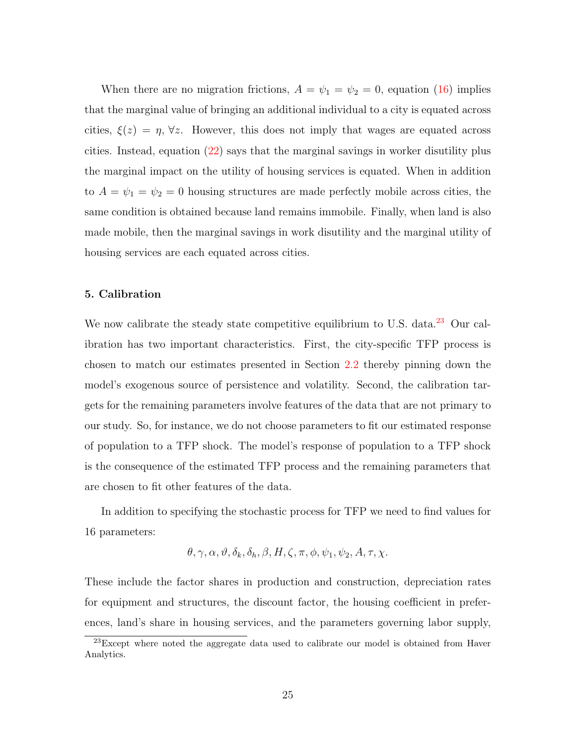When there are no migration frictions,  $A = \psi_1 = \psi_2 = 0$ , equation [\(16\)](#page-23-0) implies that the marginal value of bringing an additional individual to a city is equated across cities,  $\xi(z) = \eta$ ,  $\forall z$ . However, this does not imply that wages are equated across cities. Instead, equation [\(22\)](#page-24-0) says that the marginal savings in worker disutility plus the marginal impact on the utility of housing services is equated. When in addition to  $A = \psi_1 = \psi_2 = 0$  housing structures are made perfectly mobile across cities, the same condition is obtained because land remains immobile. Finally, when land is also made mobile, then the marginal savings in work disutility and the marginal utility of housing services are each equated across cities.

# 5. Calibration

We now calibrate the steady state competitive equilibrium to U.S. data.<sup>[23](#page-0-0)</sup> Our calibration has two important characteristics. First, the city-specific TFP process is chosen to match our estimates presented in Section [2.2](#page-8-2) thereby pinning down the model's exogenous source of persistence and volatility. Second, the calibration targets for the remaining parameters involve features of the data that are not primary to our study. So, for instance, we do not choose parameters to fit our estimated response of population to a TFP shock. The model's response of population to a TFP shock is the consequence of the estimated TFP process and the remaining parameters that are chosen to fit other features of the data.

In addition to specifying the stochastic process for TFP we need to find values for 16 parameters:

$$
\theta, \gamma, \alpha, \vartheta, \delta_k, \delta_h, \beta, H, \zeta, \pi, \phi, \psi_1, \psi_2, A, \tau, \chi.
$$

These include the factor shares in production and construction, depreciation rates for equipment and structures, the discount factor, the housing coefficient in preferences, land's share in housing services, and the parameters governing labor supply,

 $^{23}$ Except where noted the aggregate data used to calibrate our model is obtained from Haver Analytics.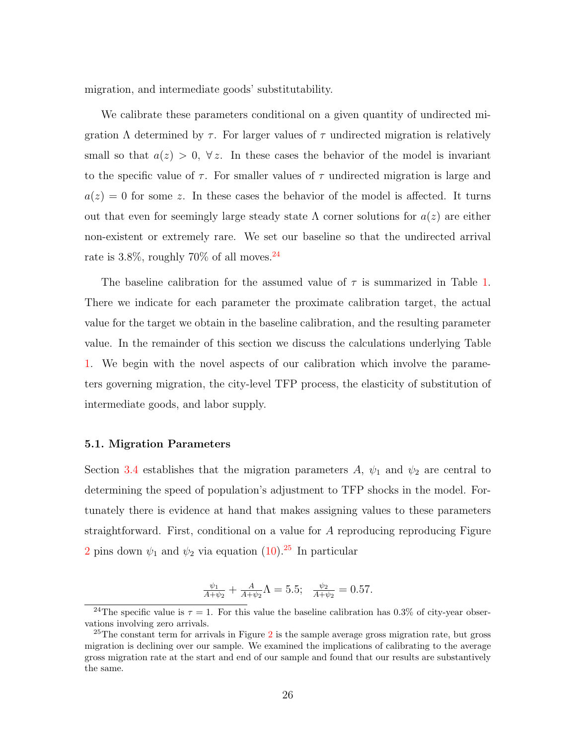migration, and intermediate goods' substitutability.

We calibrate these parameters conditional on a given quantity of undirected migration  $\Lambda$  determined by  $\tau$ . For larger values of  $\tau$  undirected migration is relatively small so that  $a(z) > 0$ ,  $\forall z$ . In these cases the behavior of the model is invariant to the specific value of  $\tau$ . For smaller values of  $\tau$  undirected migration is large and  $a(z) = 0$  for some z. In these cases the behavior of the model is affected. It turns out that even for seemingly large steady state  $\Lambda$  corner solutions for  $a(z)$  are either non-existent or extremely rare. We set our baseline so that the undirected arrival rate is 3.8%, roughly  $70\%$  of all moves.<sup>[24](#page-0-0)</sup>

The baseline calibration for the assumed value of  $\tau$  is summarized in Table [1.](#page-27-0) There we indicate for each parameter the proximate calibration target, the actual value for the target we obtain in the baseline calibration, and the resulting parameter value. In the remainder of this section we discuss the calculations underlying Table [1.](#page-27-0) We begin with the novel aspects of our calibration which involve the parameters governing migration, the city-level TFP process, the elasticity of substitution of intermediate goods, and labor supply.

# <span id="page-26-0"></span>5.1. Migration Parameters

Section [3.4](#page-16-1) establishes that the migration parameters A,  $\psi_1$  and  $\psi_2$  are central to determining the speed of population's adjustment to TFP shocks in the model. Fortunately there is evidence at hand that makes assigning values to these parameters straightforward. First, conditional on a value for A reproducing reproducing Figure [2](#page-7-0) pins down  $\psi_1$  and  $\psi_2$  via equation [\(10\)](#page-16-0).<sup>[25](#page-0-0)</sup> In particular

$$
\frac{\psi_1}{A+\psi_2} + \frac{A}{A+\psi_2} \Lambda = 5.5; \quad \frac{\psi_2}{A+\psi_2} = 0.57.
$$

<sup>&</sup>lt;sup>24</sup>The specific value is  $\tau = 1$ . For this value the baseline calibration has 0.3% of city-year observations involving zero arrivals.

<sup>&</sup>lt;sup>[2](#page-7-0)5</sup>The constant term for arrivals in Figure 2 is the sample average gross migration rate, but gross migration is declining over our sample. We examined the implications of calibrating to the average gross migration rate at the start and end of our sample and found that our results are substantively the same.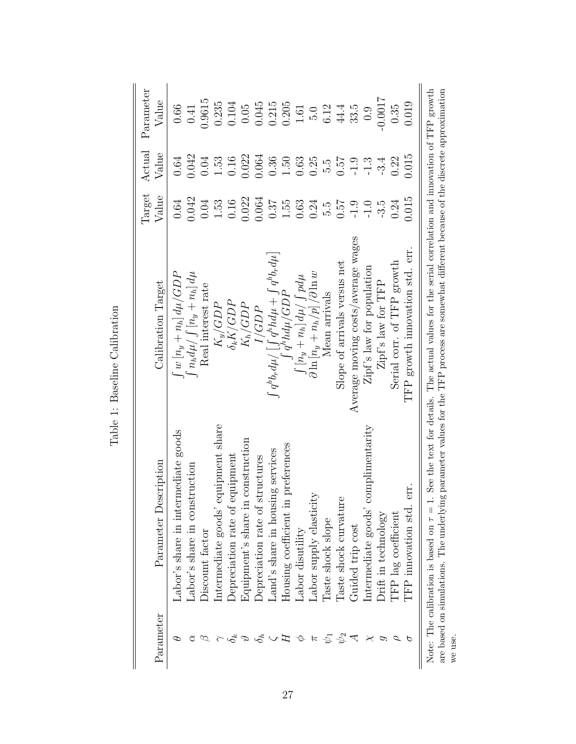<span id="page-27-0"></span>

| Parameter | Parameter Description                                                                 | Calibration Target                                                                                                                                                                                             | Target<br>Value | Actual<br>Value | Parameter<br>Value |
|-----------|---------------------------------------------------------------------------------------|----------------------------------------------------------------------------------------------------------------------------------------------------------------------------------------------------------------|-----------------|-----------------|--------------------|
|           | Labor's share in intermediate goods                                                   | $\int w\left[n_y+n_h\right]d\mu/GDP$                                                                                                                                                                           | 0.64            | 0.64            | 0.66               |
|           | Labor's share in construction                                                         | $\int n_h d\mu / \int \left[n_y + n_h\right] d\mu$                                                                                                                                                             | 0.042           | 0.042           | 0.41               |
|           | Discount factor                                                                       | Real interest rate                                                                                                                                                                                             | 0.04            | 0.04            | 0.9615             |
|           | equipment share<br>Intermediate goods'                                                | $K_y/GDP$                                                                                                                                                                                                      | 1.53            | 1.53            | 0.235              |
|           | equipment<br>Depreciation rate of                                                     | $\delta_k K/GDP$                                                                                                                                                                                               | 0.16            | 0.16            | 0.104              |
|           | Equipment's share in construction                                                     | $K_{\hbar}/GDP$                                                                                                                                                                                                | 0.022           | 0.022           | 0.05               |
|           | Depreciation rate of structures                                                       | IGDP                                                                                                                                                                                                           | 0.064           | 0.064           | 0.045              |
|           | Land's share in housing services                                                      | $\int q^b b_r d\mu / \left[ \int q^h h d\mu + \int q^b b_r d\mu \right]$                                                                                                                                       | 0.37            | 0.36            | 0.215              |
|           | Housing coefficient in preferences                                                    | $(q^h h d\mu/GDP)$                                                                                                                                                                                             | 1.55            | 1.50            | 0.205              |
|           | Labor disutility                                                                      | $\lceil n_y+n_h \rceil d\mu / \int pd\mu$                                                                                                                                                                      | 0.63            | 0.63            | 1.61               |
|           | Labor supply elasticity                                                               | $\partial \ln \left[n_y + n_h/p\right]/\partial \ln w$                                                                                                                                                         | 0.24            | 0.25            | 5.0                |
|           | Laste shock slope                                                                     | Mean arrivals                                                                                                                                                                                                  | 5.6             | 5.6             | 6.12               |
|           | Taste shock curvature                                                                 | Slope of arrivals versus net                                                                                                                                                                                   | 75.0            | 75.0            | 44.4               |
|           | Guided trip cost                                                                      | Average moving costs/average wages                                                                                                                                                                             | $-1.9$          | $-1.9$          | 33.5               |
|           | complimentarity<br>Intermediate goods'                                                | Zipf's law for population                                                                                                                                                                                      | $-1.0$          | $-1.3$          | 0.9                |
|           | Orift in technology                                                                   | Zipf's law for TFP                                                                                                                                                                                             | $-3.5$          | $-3.4$          | $-0.0017$          |
|           | TFP lag coefficient                                                                   | Serial corr. of TFP growth                                                                                                                                                                                     | 0.24            | 0.22            | 0.35               |
|           | err.<br>TFP innovation std.                                                           | TFP growth innovation std. err                                                                                                                                                                                 | 0.015           | 0.015           | 0.019              |
|           | are based on simulations. The underlyin<br>Note: The calibration is based on $\tau =$ | 1. See the text for details. The actual values for the serial correlation and innovation of TFP growth<br>ag parameter values for the TFP process are somewhat different because of the discrete approximation |                 |                 |                    |
| we use.   |                                                                                       |                                                                                                                                                                                                                |                 |                 |                    |

Table 1: Baseline Calibration Table 1: Baseline Calibration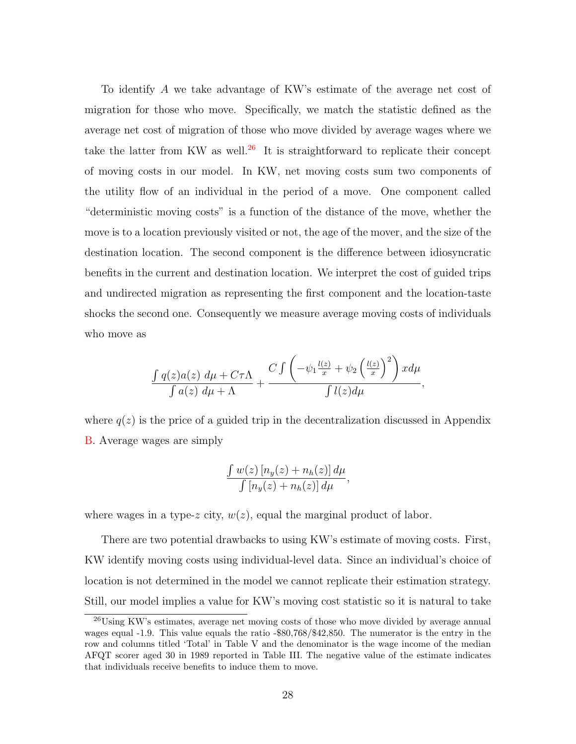To identify A we take advantage of KW's estimate of the average net cost of migration for those who move. Specifically, we match the statistic defined as the average net cost of migration of those who move divided by average wages where we take the latter from KW as well.<sup>[26](#page-0-0)</sup> It is straightforward to replicate their concept of moving costs in our model. In KW, net moving costs sum two components of the utility flow of an individual in the period of a move. One component called "deterministic moving costs" is a function of the distance of the move, whether the move is to a location previously visited or not, the age of the mover, and the size of the destination location. The second component is the difference between idiosyncratic benefits in the current and destination location. We interpret the cost of guided trips and undirected migration as representing the first component and the location-taste shocks the second one. Consequently we measure average moving costs of individuals who move as

$$
\frac{\int q(z)a(z) d\mu + C\tau\Lambda}{\int a(z) d\mu + \Lambda} + \frac{C \int \left(-\psi_1 \frac{l(z)}{x} + \psi_2 \left(\frac{l(z)}{x}\right)^2\right) x d\mu}{\int l(z) d\mu},
$$

where  $q(z)$  is the price of a guided trip in the decentralization discussed in Appendix [B.](#page-50-0) Average wages are simply

$$
\frac{\int w(z) \left[ n_y(z) + n_h(z) \right] d\mu}{\int \left[ n_y(z) + n_h(z) \right] d\mu},
$$

where wages in a type-z city,  $w(z)$ , equal the marginal product of labor.

There are two potential drawbacks to using KW's estimate of moving costs. First, KW identify moving costs using individual-level data. Since an individual's choice of location is not determined in the model we cannot replicate their estimation strategy. Still, our model implies a value for KW's moving cost statistic so it is natural to take

<sup>26</sup>Using KW's estimates, average net moving costs of those who move divided by average annual wages equal -1.9. This value equals the ratio -\$80,768/\$42,850. The numerator is the entry in the row and columns titled 'Total' in Table V and the denominator is the wage income of the median AFQT scorer aged 30 in 1989 reported in Table III. The negative value of the estimate indicates that individuals receive benefits to induce them to move.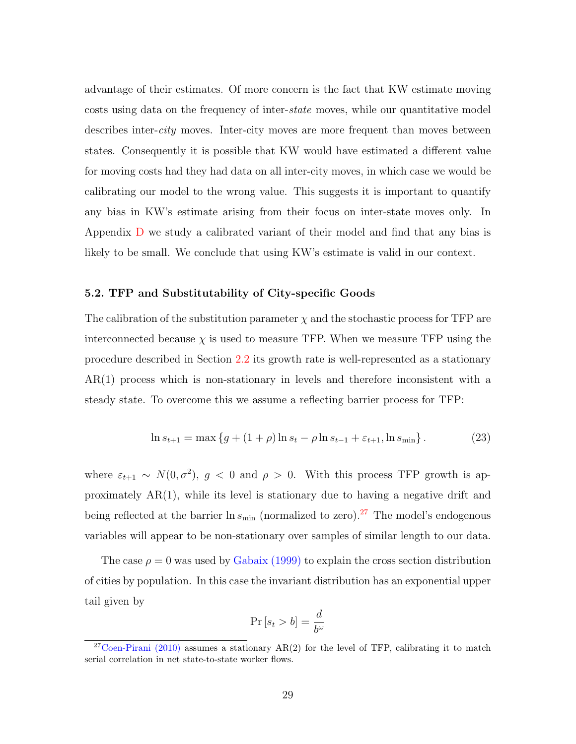advantage of their estimates. Of more concern is the fact that KW estimate moving costs using data on the frequency of inter-state moves, while our quantitative model describes inter-*city* moves. Inter-city moves are more frequent than moves between states. Consequently it is possible that KW would have estimated a different value for moving costs had they had data on all inter-city moves, in which case we would be calibrating our model to the wrong value. This suggests it is important to quantify any bias in KW's estimate arising from their focus on inter-state moves only. In Appendix [D](#page-53-0) we study a calibrated variant of their model and find that any bias is likely to be small. We conclude that using KW's estimate is valid in our context.

# 5.2. TFP and Substitutability of City-specific Goods

The calibration of the substitution parameter  $\chi$  and the stochastic process for TFP are interconnected because  $\chi$  is used to measure TFP. When we measure TFP using the procedure described in Section [2.2](#page-8-2) its growth rate is well-represented as a stationary AR(1) process which is non-stationary in levels and therefore inconsistent with a steady state. To overcome this we assume a reflecting barrier process for TFP:

<span id="page-29-0"></span>
$$
\ln s_{t+1} = \max \left\{ g + (1+\rho)\ln s_t - \rho \ln s_{t-1} + \varepsilon_{t+1}, \ln s_{\min} \right\}.
$$
 (23)

where  $\varepsilon_{t+1} \sim N(0, \sigma^2)$ ,  $g < 0$  and  $\rho > 0$ . With this process TFP growth is approximately  $AR(1)$ , while its level is stationary due to having a negative drift and being reflected at the barrier  $\ln s_{\text{min}}$  (normalized to zero).<sup>[27](#page-0-0)</sup> The model's endogenous variables will appear to be non-stationary over samples of similar length to our data.

The case  $\rho = 0$  was used by [Gabaix](#page-46-6) [\(1999\)](#page-46-6) to explain the cross section distribution of cities by population. In this case the invariant distribution has an exponential upper tail given by

$$
\Pr\left[s_{t}>b\right]=\frac{d}{b^{\omega}}
$$

<sup>&</sup>lt;sup>27</sup>[Coen-Pirani](#page-46-0) [\(2010\)](#page-46-0) assumes a stationary  $AR(2)$  for the level of TFP, calibrating it to match serial correlation in net state-to-state worker flows.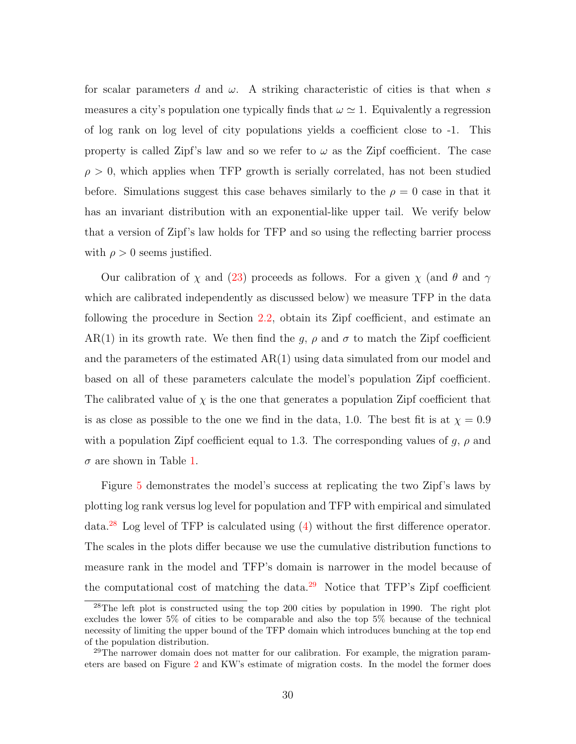for scalar parameters d and  $\omega$ . A striking characteristic of cities is that when s measures a city's population one typically finds that  $\omega \simeq 1$ . Equivalently a regression of log rank on log level of city populations yields a coefficient close to -1. This property is called Zipf's law and so we refer to  $\omega$  as the Zipf coefficient. The case  $\rho > 0$ , which applies when TFP growth is serially correlated, has not been studied before. Simulations suggest this case behaves similarly to the  $\rho = 0$  case in that it has an invariant distribution with an exponential-like upper tail. We verify below that a version of Zipf's law holds for TFP and so using the reflecting barrier process with  $\rho > 0$  seems justified.

Our calibration of  $\chi$  and [\(23\)](#page-29-0) proceeds as follows. For a given  $\chi$  (and  $\theta$  and  $\gamma$ which are calibrated independently as discussed below) we measure TFP in the data following the procedure in Section [2.2,](#page-8-2) obtain its Zipf coefficient, and estimate an AR(1) in its growth rate. We then find the g,  $\rho$  and  $\sigma$  to match the Zipf coefficient and the parameters of the estimated AR(1) using data simulated from our model and based on all of these parameters calculate the model's population Zipf coefficient. The calibrated value of  $\chi$  is the one that generates a population Zipf coefficient that is as close as possible to the one we find in the data, 1.0. The best fit is at  $\chi = 0.9$ with a population Zipf coefficient equal to 1.3. The corresponding values of  $g, \rho$  and  $\sigma$  are shown in Table [1.](#page-27-0)

Figure [5](#page-31-0) demonstrates the model's success at replicating the two Zipf's laws by plotting log rank versus log level for population and TFP with empirical and simulated data.[28](#page-0-0) Log level of TFP is calculated using [\(4\)](#page-9-0) without the first difference operator. The scales in the plots differ because we use the cumulative distribution functions to measure rank in the model and TFP's domain is narrower in the model because of the computational cost of matching the data. $29$  Notice that TFP's Zipf coefficient

<sup>28</sup>The left plot is constructed using the top 200 cities by population in 1990. The right plot excludes the lower 5% of cities to be comparable and also the top 5% because of the technical necessity of limiting the upper bound of the TFP domain which introduces bunching at the top end of the population distribution.

 $^{29}$ The narrower domain does not matter for our calibration. For example, the migration parameters are based on Figure [2](#page-7-0) and KW's estimate of migration costs. In the model the former does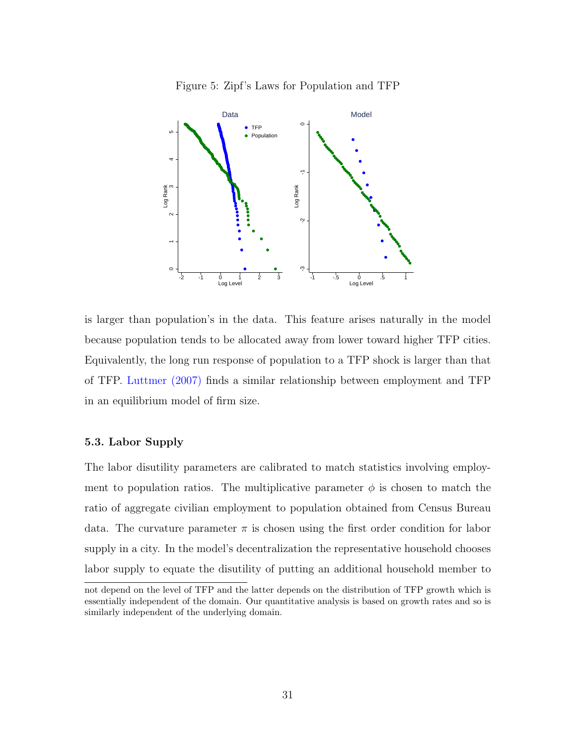<span id="page-31-0"></span>



is larger than population's in the data. This feature arises naturally in the model because population tends to be allocated away from lower toward higher TFP cities. Equivalently, the long run response of population to a TFP shock is larger than that of TFP. [Luttmer](#page-47-12) [\(2007\)](#page-47-12) finds a similar relationship between employment and TFP in an equilibrium model of firm size.

# 5.3. Labor Supply

The labor disutility parameters are calibrated to match statistics involving employment to population ratios. The multiplicative parameter  $\phi$  is chosen to match the ratio of aggregate civilian employment to population obtained from Census Bureau data. The curvature parameter  $\pi$  is chosen using the first order condition for labor supply in a city. In the model's decentralization the representative household chooses labor supply to equate the disutility of putting an additional household member to

not depend on the level of TFP and the latter depends on the distribution of TFP growth which is essentially independent of the domain. Our quantitative analysis is based on growth rates and so is similarly independent of the underlying domain.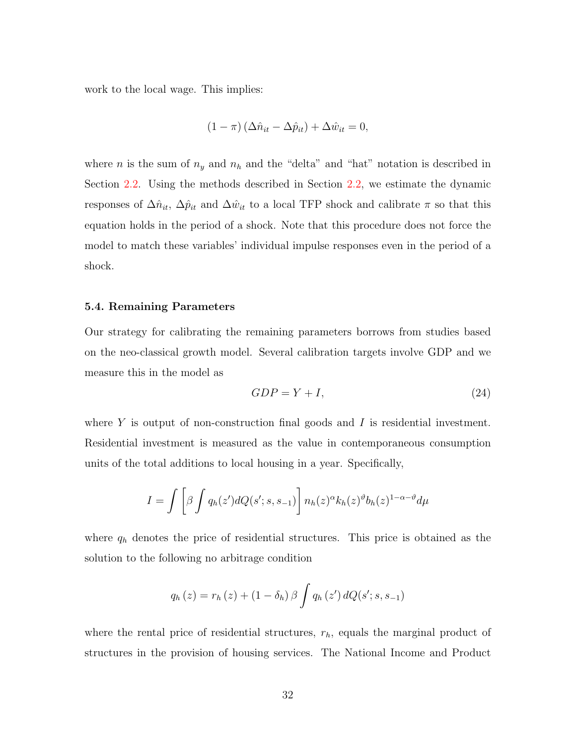work to the local wage. This implies:

$$
(1 - \pi) (\Delta \hat{n}_{it} - \Delta \hat{p}_{it}) + \Delta \hat{w}_{it} = 0,
$$

where *n* is the sum of  $n_y$  and  $n_h$  and the "delta" and "hat" notation is described in Section [2.2.](#page-8-2) Using the methods described in Section [2.2,](#page-8-2) we estimate the dynamic responses of  $\Delta \hat{n}_{it}$ ,  $\Delta \hat{p}_{it}$  and  $\Delta \hat{w}_{it}$  to a local TFP shock and calibrate  $\pi$  so that this equation holds in the period of a shock. Note that this procedure does not force the model to match these variables' individual impulse responses even in the period of a shock.

# 5.4. Remaining Parameters

Our strategy for calibrating the remaining parameters borrows from studies based on the neo-classical growth model. Several calibration targets involve GDP and we measure this in the model as

$$
GDP = Y + I,\t\t(24)
$$

where  $Y$  is output of non-construction final goods and  $I$  is residential investment. Residential investment is measured as the value in contemporaneous consumption units of the total additions to local housing in a year. Specifically,

$$
I = \int \left[ \beta \int q_h(z') dQ(s'; s, s_{-1}) \right] n_h(z)^\alpha k_h(z)^\vartheta b_h(z)^{1-\alpha-\vartheta} d\mu
$$

where  $q_h$  denotes the price of residential structures. This price is obtained as the solution to the following no arbitrage condition

$$
q_h(z) = r_h(z) + (1 - \delta_h) \beta \int q_h(z') dQ(s'; s, s_{-1})
$$

where the rental price of residential structures,  $r<sub>h</sub>$ , equals the marginal product of structures in the provision of housing services. The National Income and Product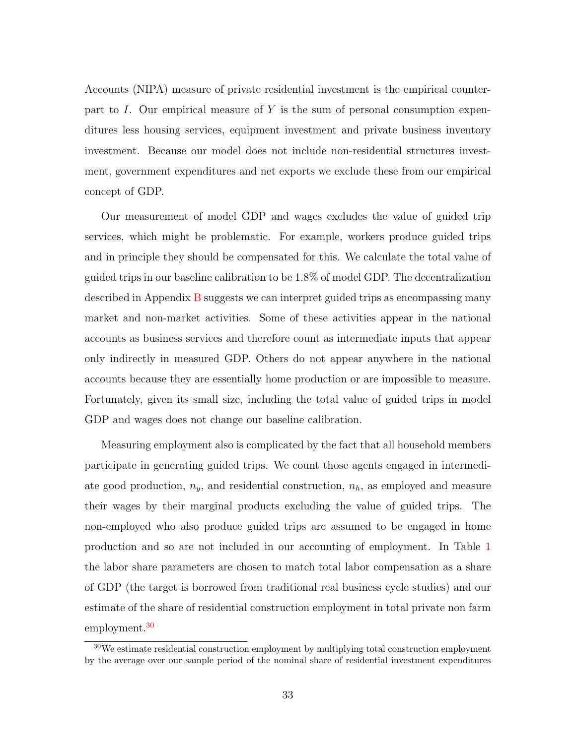Accounts (NIPA) measure of private residential investment is the empirical counterpart to I. Our empirical measure of Y is the sum of personal consumption expenditures less housing services, equipment investment and private business inventory investment. Because our model does not include non-residential structures investment, government expenditures and net exports we exclude these from our empirical concept of GDP.

Our measurement of model GDP and wages excludes the value of guided trip services, which might be problematic. For example, workers produce guided trips and in principle they should be compensated for this. We calculate the total value of guided trips in our baseline calibration to be 1.8% of model GDP. The decentralization described in Appendix [B](#page-50-0) suggests we can interpret guided trips as encompassing many market and non-market activities. Some of these activities appear in the national accounts as business services and therefore count as intermediate inputs that appear only indirectly in measured GDP. Others do not appear anywhere in the national accounts because they are essentially home production or are impossible to measure. Fortunately, given its small size, including the total value of guided trips in model GDP and wages does not change our baseline calibration.

Measuring employment also is complicated by the fact that all household members participate in generating guided trips. We count those agents engaged in intermediate good production,  $n_y$ , and residential construction,  $n_h$ , as employed and measure their wages by their marginal products excluding the value of guided trips. The non-employed who also produce guided trips are assumed to be engaged in home production and so are not included in our accounting of employment. In Table [1](#page-27-0) the labor share parameters are chosen to match total labor compensation as a share of GDP (the target is borrowed from traditional real business cycle studies) and our estimate of the share of residential construction employment in total private non farm employment.<sup>[30](#page-0-0)</sup>

 $30\,\text{We estimate residual construction employment by multiplying total construction employment}$ by the average over our sample period of the nominal share of residential investment expenditures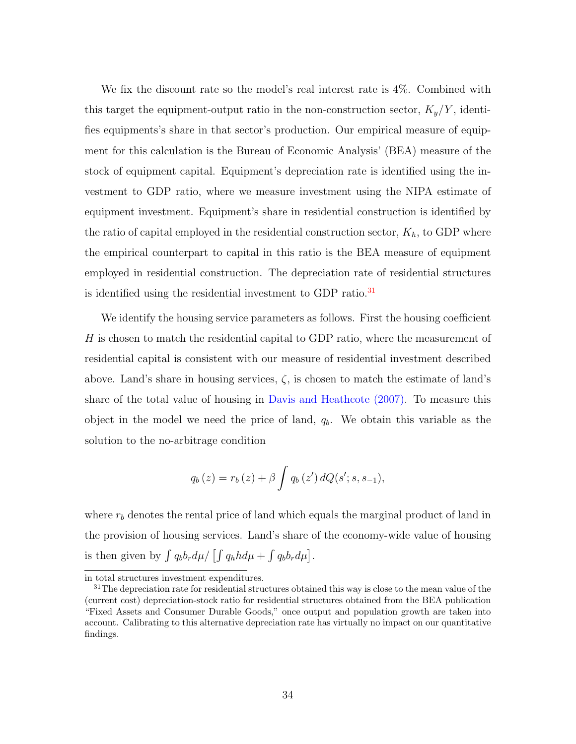We fix the discount rate so the model's real interest rate is 4%. Combined with this target the equipment-output ratio in the non-construction sector,  $K_y/Y$ , identifies equipments's share in that sector's production. Our empirical measure of equipment for this calculation is the Bureau of Economic Analysis' (BEA) measure of the stock of equipment capital. Equipment's depreciation rate is identified using the investment to GDP ratio, where we measure investment using the NIPA estimate of equipment investment. Equipment's share in residential construction is identified by the ratio of capital employed in the residential construction sector,  $K_h$ , to GDP where the empirical counterpart to capital in this ratio is the BEA measure of equipment employed in residential construction. The depreciation rate of residential structures is identified using the residential investment to GDP ratio.<sup>[31](#page-0-0)</sup>

We identify the housing service parameters as follows. First the housing coefficient H is chosen to match the residential capital to GDP ratio, where the measurement of residential capital is consistent with our measure of residential investment described above. Land's share in housing services,  $\zeta$ , is chosen to match the estimate of land's share of the total value of housing in [Davis and Heathcote](#page-46-11) [\(2007\)](#page-46-11). To measure this object in the model we need the price of land,  $q_b$ . We obtain this variable as the solution to the no-arbitrage condition

$$
q_b(z) = r_b(z) + \beta \int q_b(z') dQ(s'; s, s_{-1}),
$$

where  $r<sub>b</sub>$  denotes the rental price of land which equals the marginal product of land in the provision of housing services. Land's share of the economy-wide value of housing is then given by  $\int q_b b_r d\mu / \left[ \int q_h h d\mu + \int q_b b_r d\mu \right]$ .

in total structures investment expenditures.

 $31$ The depreciation rate for residential structures obtained this way is close to the mean value of the (current cost) depreciation-stock ratio for residential structures obtained from the BEA publication "Fixed Assets and Consumer Durable Goods," once output and population growth are taken into account. Calibrating to this alternative depreciation rate has virtually no impact on our quantitative findings.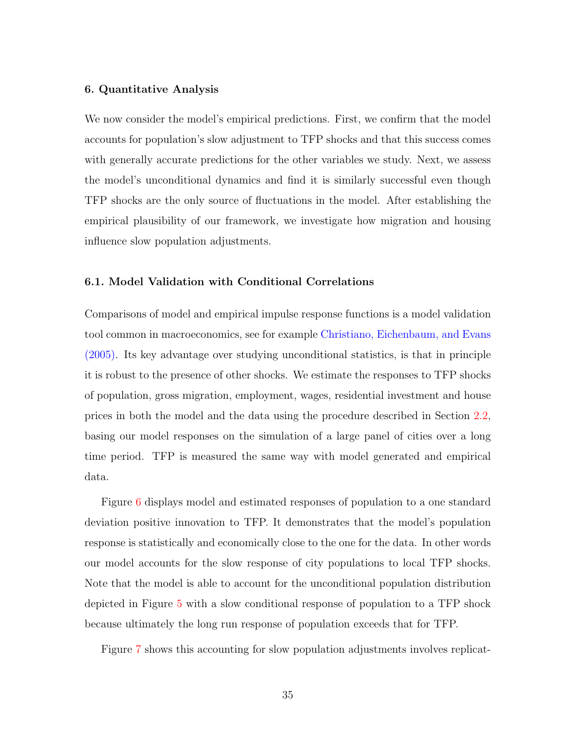# 6. Quantitative Analysis

We now consider the model's empirical predictions. First, we confirm that the model accounts for population's slow adjustment to TFP shocks and that this success comes with generally accurate predictions for the other variables we study. Next, we assess the model's unconditional dynamics and find it is similarly successful even though TFP shocks are the only source of fluctuations in the model. After establishing the empirical plausibility of our framework, we investigate how migration and housing influence slow population adjustments.

# 6.1. Model Validation with Conditional Correlations

Comparisons of model and empirical impulse response functions is a model validation tool common in macroeconomics, see for example [Christiano, Eichenbaum, and Evans](#page-46-12) [\(2005\)](#page-46-12). Its key advantage over studying unconditional statistics, is that in principle it is robust to the presence of other shocks. We estimate the responses to TFP shocks of population, gross migration, employment, wages, residential investment and house prices in both the model and the data using the procedure described in Section [2.2,](#page-8-2) basing our model responses on the simulation of a large panel of cities over a long time period. TFP is measured the same way with model generated and empirical data.

Figure [6](#page-36-0) displays model and estimated responses of population to a one standard deviation positive innovation to TFP. It demonstrates that the model's population response is statistically and economically close to the one for the data. In other words our model accounts for the slow response of city populations to local TFP shocks. Note that the model is able to account for the unconditional population distribution depicted in Figure [5](#page-31-0) with a slow conditional response of population to a TFP shock because ultimately the long run response of population exceeds that for TFP.

Figure [7](#page-36-1) shows this accounting for slow population adjustments involves replicat-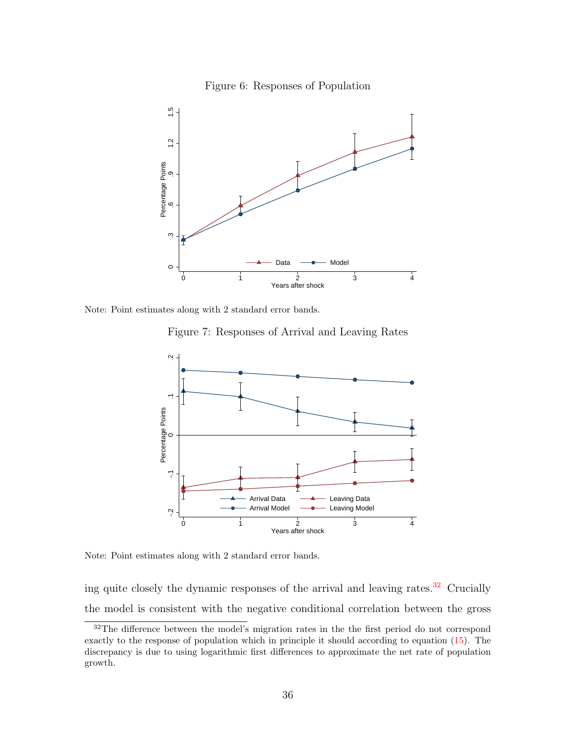<span id="page-36-0"></span>



Note: Point estimates along with 2 standard error bands.

<span id="page-36-1"></span>Figure 7: Responses of Arrival and Leaving Rates



Note: Point estimates along with 2 standard error bands.

ing quite closely the dynamic responses of the arrival and leaving rates. $32$  Crucially the model is consistent with the negative conditional correlation between the gross

<sup>&</sup>lt;sup>32</sup>The difference between the model's migration rates in the the first period do not correspond exactly to the response of population which in principle it should according to equation [\(15\)](#page-22-0). The discrepancy is due to using logarithmic first differences to approximate the net rate of population growth.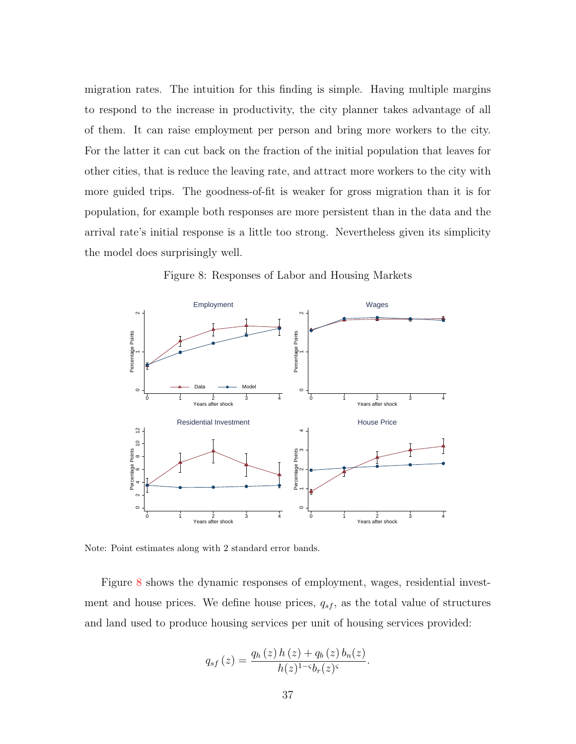migration rates. The intuition for this finding is simple. Having multiple margins to respond to the increase in productivity, the city planner takes advantage of all of them. It can raise employment per person and bring more workers to the city. For the latter it can cut back on the fraction of the initial population that leaves for other cities, that is reduce the leaving rate, and attract more workers to the city with more guided trips. The goodness-of-fit is weaker for gross migration than it is for population, for example both responses are more persistent than in the data and the arrival rate's initial response is a little too strong. Nevertheless given its simplicity the model does surprisingly well.



<span id="page-37-0"></span>Figure 8: Responses of Labor and Housing Markets

Note: Point estimates along with 2 standard error bands.

Figure [8](#page-37-0) shows the dynamic responses of employment, wages, residential investment and house prices. We define house prices,  $q_{sf}$ , as the total value of structures and land used to produce housing services per unit of housing services provided:

$$
q_{sf}(z) = \frac{q_h(z) h(z) + q_b(z) b_n(z)}{h(z)^{1-\varsigma} b_r(z)^{\varsigma}}.
$$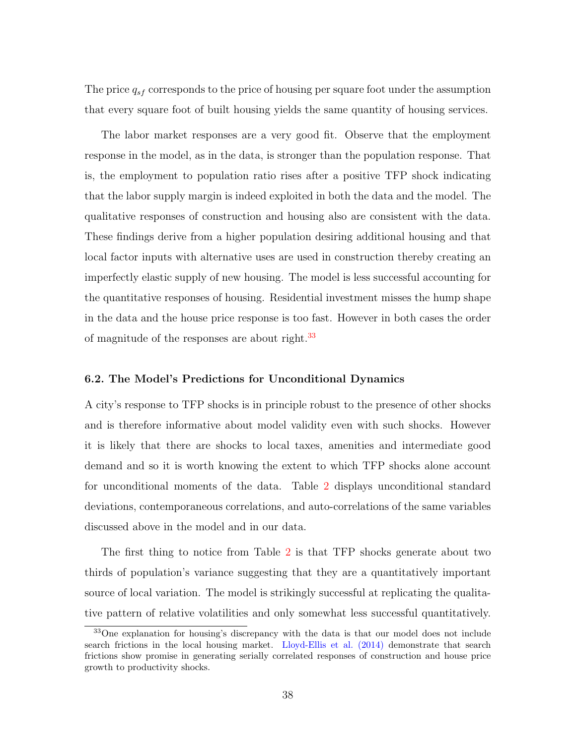The price  $q_{sf}$  corresponds to the price of housing per square foot under the assumption that every square foot of built housing yields the same quantity of housing services.

The labor market responses are a very good fit. Observe that the employment response in the model, as in the data, is stronger than the population response. That is, the employment to population ratio rises after a positive TFP shock indicating that the labor supply margin is indeed exploited in both the data and the model. The qualitative responses of construction and housing also are consistent with the data. These findings derive from a higher population desiring additional housing and that local factor inputs with alternative uses are used in construction thereby creating an imperfectly elastic supply of new housing. The model is less successful accounting for the quantitative responses of housing. Residential investment misses the hump shape in the data and the house price response is too fast. However in both cases the order of magnitude of the responses are about right.<sup>[33](#page-0-0)</sup>

# 6.2. The Model's Predictions for Unconditional Dynamics

A city's response to TFP shocks is in principle robust to the presence of other shocks and is therefore informative about model validity even with such shocks. However it is likely that there are shocks to local taxes, amenities and intermediate good demand and so it is worth knowing the extent to which TFP shocks alone account for unconditional moments of the data. Table [2](#page-39-0) displays unconditional standard deviations, contemporaneous correlations, and auto-correlations of the same variables discussed above in the model and in our data.

The first thing to notice from Table [2](#page-39-0) is that TFP shocks generate about two thirds of population's variance suggesting that they are a quantitatively important source of local variation. The model is strikingly successful at replicating the qualitative pattern of relative volatilities and only somewhat less successful quantitatively.

<sup>33</sup>One explanation for housing's discrepancy with the data is that our model does not include search frictions in the local housing market. [Lloyd-Ellis et al.](#page-47-10) [\(2014\)](#page-47-10) demonstrate that search frictions show promise in generating serially correlated responses of construction and house price growth to productivity shocks.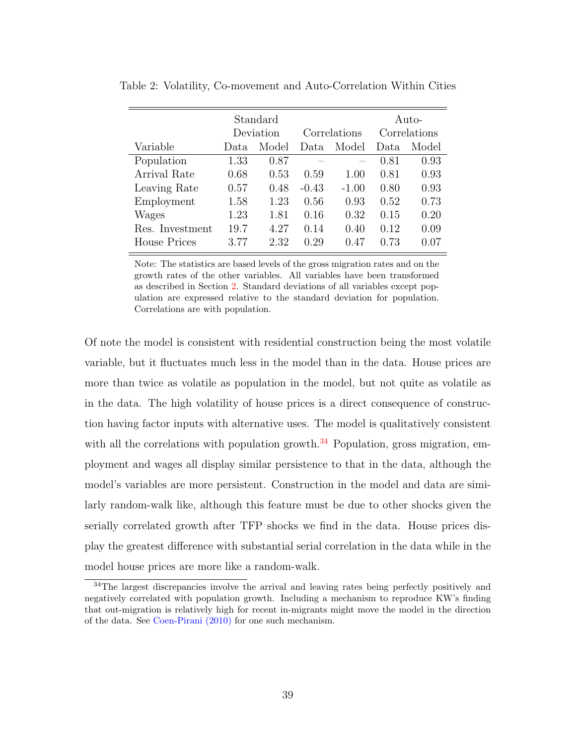|                     | Standard  |       |              |         | Auto-        |       |
|---------------------|-----------|-------|--------------|---------|--------------|-------|
|                     | Deviation |       | Correlations |         | Correlations |       |
| Variable            | Data      | Model | Data         | Model   | Data         | Model |
| Population          | 1.33      | 0.87  |              |         | 0.81         | 0.93  |
| Arrival Rate        | 0.68      | 0.53  | 0.59         | 1.00    | 0.81         | 0.93  |
| Leaving Rate        | 0.57      | 0.48  | $-0.43$      | $-1.00$ | 0.80         | 0.93  |
| Employment          | 1.58      | 1.23  | 0.56         | 0.93    | 0.52         | 0.73  |
| Wages               | 1.23      | 1.81  | 0.16         | 0.32    | 0.15         | 0.20  |
| Res. Investment     | 19.7      | 4.27  | 0.14         | 0.40    | 0.12         | 0.09  |
| <b>House Prices</b> | 3.77      | 2.32  | 0.29         | 0.47    | 0.73         | 0.07  |

<span id="page-39-0"></span>Table 2: Volatility, Co-movement and Auto-Correlation Within Cities

Note: The statistics are based levels of the gross migration rates and on the growth rates of the other variables. All variables have been transformed as described in Section [2.](#page-5-0) Standard deviations of all variables except population are expressed relative to the standard deviation for population. Correlations are with population.

Of note the model is consistent with residential construction being the most volatile variable, but it fluctuates much less in the model than in the data. House prices are more than twice as volatile as population in the model, but not quite as volatile as in the data. The high volatility of house prices is a direct consequence of construction having factor inputs with alternative uses. The model is qualitatively consistent with all the correlations with population growth. $34$  Population, gross migration, employment and wages all display similar persistence to that in the data, although the model's variables are more persistent. Construction in the model and data are similarly random-walk like, although this feature must be due to other shocks given the serially correlated growth after TFP shocks we find in the data. House prices display the greatest difference with substantial serial correlation in the data while in the model house prices are more like a random-walk.

<sup>&</sup>lt;sup>34</sup>The largest discrepancies involve the arrival and leaving rates being perfectly positively and negatively correlated with population growth. Including a mechanism to reproduce KW's finding that out-migration is relatively high for recent in-migrants might move the model in the direction of the data. See [Coen-Pirani](#page-46-0) [\(2010\)](#page-46-0) for one such mechanism.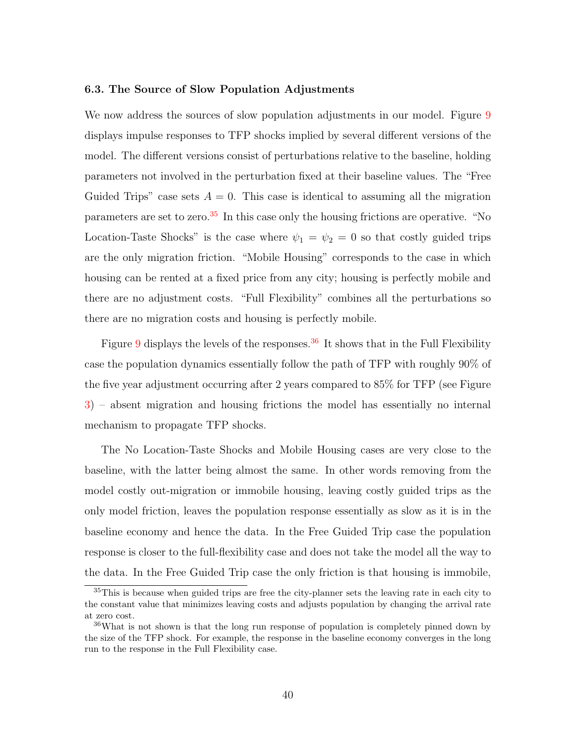### 6.3. The Source of Slow Population Adjustments

We now address the sources of slow population adjustments in our model. Figure [9](#page-41-0) displays impulse responses to TFP shocks implied by several different versions of the model. The different versions consist of perturbations relative to the baseline, holding parameters not involved in the perturbation fixed at their baseline values. The "Free Guided Trips" case sets  $A = 0$ . This case is identical to assuming all the migration parameters are set to zero.<sup>[35](#page-0-0)</sup> In this case only the housing frictions are operative. "No Location-Taste Shocks" is the case where  $\psi_1 = \psi_2 = 0$  so that costly guided trips are the only migration friction. "Mobile Housing" corresponds to the case in which housing can be rented at a fixed price from any city; housing is perfectly mobile and there are no adjustment costs. "Full Flexibility" combines all the perturbations so there are no migration costs and housing is perfectly mobile.

Figure [9](#page-41-0) displays the levels of the responses.<sup>[36](#page-0-0)</sup> It shows that in the Full Flexibility case the population dynamics essentially follow the path of TFP with roughly 90% of the five year adjustment occurring after 2 years compared to 85% for TFP (see Figure [3\)](#page-10-1) – absent migration and housing frictions the model has essentially no internal mechanism to propagate TFP shocks.

The No Location-Taste Shocks and Mobile Housing cases are very close to the baseline, with the latter being almost the same. In other words removing from the model costly out-migration or immobile housing, leaving costly guided trips as the only model friction, leaves the population response essentially as slow as it is in the baseline economy and hence the data. In the Free Guided Trip case the population response is closer to the full-flexibility case and does not take the model all the way to the data. In the Free Guided Trip case the only friction is that housing is immobile,

<sup>35</sup>This is because when guided trips are free the city-planner sets the leaving rate in each city to the constant value that minimizes leaving costs and adjusts population by changing the arrival rate at zero cost.

<sup>36</sup>What is not shown is that the long run response of population is completely pinned down by the size of the TFP shock. For example, the response in the baseline economy converges in the long run to the response in the Full Flexibility case.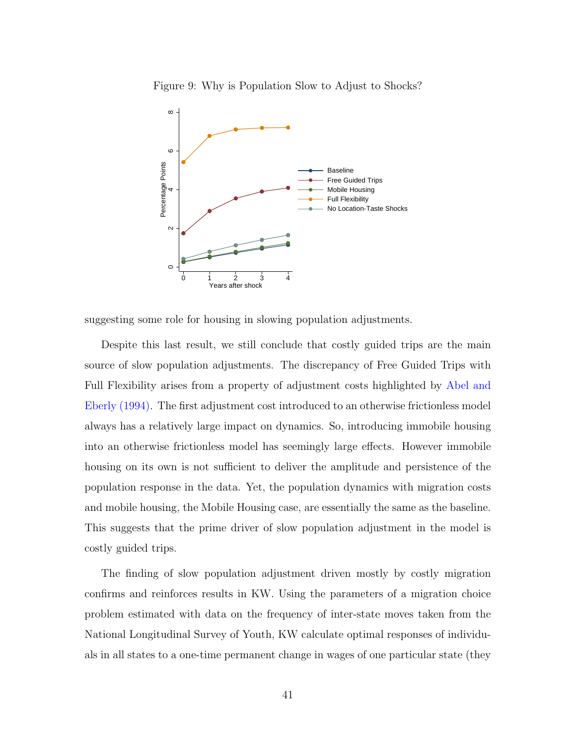

<span id="page-41-0"></span>Figure 9: Why is Population Slow to Adjust to Shocks?

suggesting some role for housing in slowing population adjustments.

Despite this last result, we still conclude that costly guided trips are the main source of slow population adjustments. The discrepancy of Free Guided Trips with Full Flexibility arises from a property of adjustment costs highlighted by [Abel and](#page-46-13) [Eberly](#page-46-13) [\(1994\)](#page-46-13). The first adjustment cost introduced to an otherwise frictionless model always has a relatively large impact on dynamics. So, introducing immobile housing into an otherwise frictionless model has seemingly large effects. However immobile housing on its own is not sufficient to deliver the amplitude and persistence of the population response in the data. Yet, the population dynamics with migration costs and mobile housing, the Mobile Housing case, are essentially the same as the baseline. This suggests that the prime driver of slow population adjustment in the model is costly guided trips.

The finding of slow population adjustment driven mostly by costly migration confirms and reinforces results in KW. Using the parameters of a migration choice problem estimated with data on the frequency of inter-state moves taken from the National Longitudinal Survey of Youth, KW calculate optimal responses of individuals in all states to a one-time permanent change in wages of one particular state (they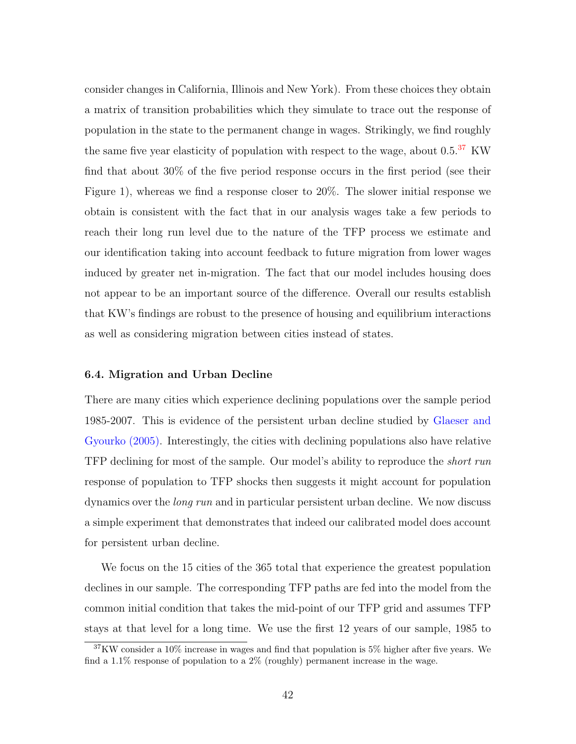consider changes in California, Illinois and New York). From these choices they obtain a matrix of transition probabilities which they simulate to trace out the response of population in the state to the permanent change in wages. Strikingly, we find roughly the same five year elasticity of population with respect to the wage, about  $0.5^{37}$  $0.5^{37}$  $0.5^{37}$  KW find that about 30% of the five period response occurs in the first period (see their Figure 1), whereas we find a response closer to 20%. The slower initial response we obtain is consistent with the fact that in our analysis wages take a few periods to reach their long run level due to the nature of the TFP process we estimate and our identification taking into account feedback to future migration from lower wages induced by greater net in-migration. The fact that our model includes housing does not appear to be an important source of the difference. Overall our results establish that KW's findings are robust to the presence of housing and equilibrium interactions as well as considering migration between cities instead of states.

# 6.4. Migration and Urban Decline

There are many cities which experience declining populations over the sample period 1985-2007. This is evidence of the persistent urban decline studied by [Glaeser and](#page-47-1) [Gyourko](#page-47-1) [\(2005\)](#page-47-1). Interestingly, the cities with declining populations also have relative TFP declining for most of the sample. Our model's ability to reproduce the *short run* response of population to TFP shocks then suggests it might account for population dynamics over the long run and in particular persistent urban decline. We now discuss a simple experiment that demonstrates that indeed our calibrated model does account for persistent urban decline.

We focus on the 15 cities of the 365 total that experience the greatest population declines in our sample. The corresponding TFP paths are fed into the model from the common initial condition that takes the mid-point of our TFP grid and assumes TFP stays at that level for a long time. We use the first 12 years of our sample, 1985 to

<sup>37</sup>KW consider a 10% increase in wages and find that population is 5% higher after five years. We find a  $1.1\%$  response of population to a  $2\%$  (roughly) permanent increase in the wage.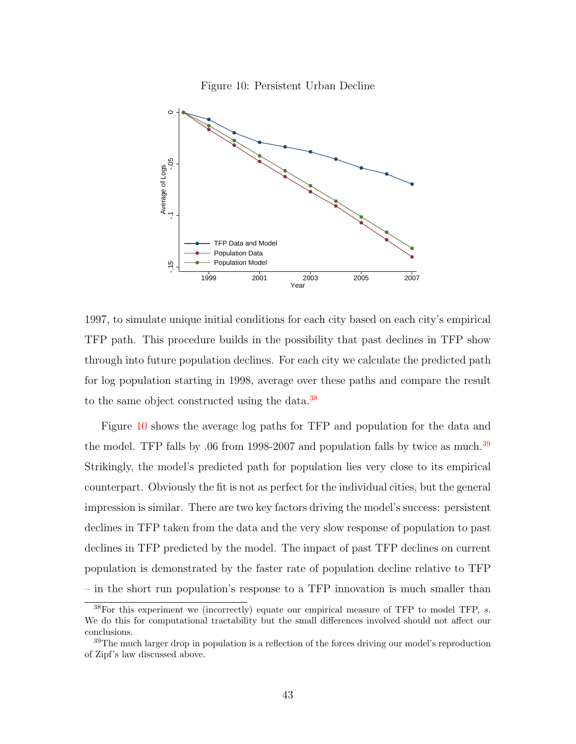<span id="page-43-0"></span>



1997, to simulate unique initial conditions for each city based on each city's empirical TFP path. This procedure builds in the possibility that past declines in TFP show through into future population declines. For each city we calculate the predicted path for log population starting in 1998, average over these paths and compare the result to the same object constructed using the data.<sup>[38](#page-0-0)</sup>

Figure [10](#page-43-0) shows the average log paths for TFP and population for the data and the model. TFP falls by .06 from 1998-2007 and population falls by twice as much.<sup>[39](#page-0-0)</sup> Strikingly, the model's predicted path for population lies very close to its empirical counterpart. Obviously the fit is not as perfect for the individual cities, but the general impression is similar. There are two key factors driving the model's success: persistent declines in TFP taken from the data and the very slow response of population to past declines in TFP predicted by the model. The impact of past TFP declines on current population is demonstrated by the faster rate of population decline relative to TFP – in the short run population's response to a TFP innovation is much smaller than

 $38$  For this experiment we (incorrectly) equate our empirical measure of TFP to model TFP, s. We do this for computational tractability but the small differences involved should not affect our conclusions.

<sup>&</sup>lt;sup>39</sup>The much larger drop in population is a reflection of the forces driving our model's reproduction of Zipf's law discussed above.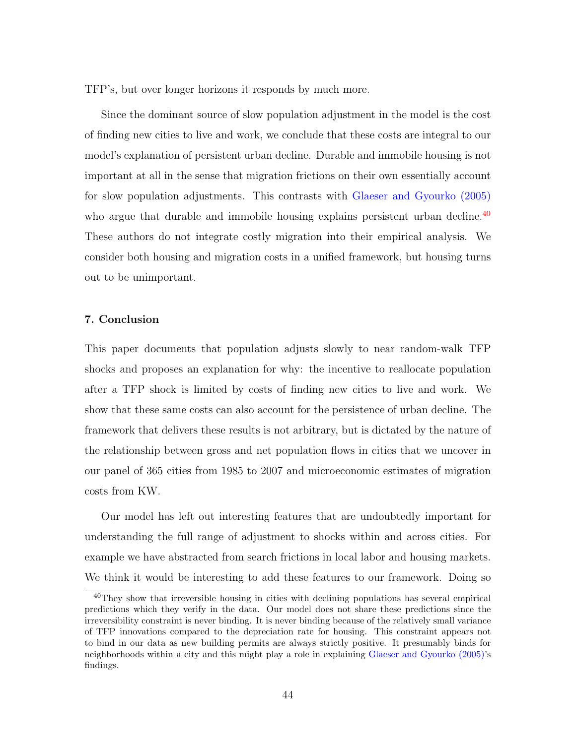TFP's, but over longer horizons it responds by much more.

Since the dominant source of slow population adjustment in the model is the cost of finding new cities to live and work, we conclude that these costs are integral to our model's explanation of persistent urban decline. Durable and immobile housing is not important at all in the sense that migration frictions on their own essentially account for slow population adjustments. This contrasts with [Glaeser and Gyourko](#page-47-1) [\(2005\)](#page-47-1) who argue that durable and immobile housing explains persistent urban decline.<sup>[40](#page-0-0)</sup> These authors do not integrate costly migration into their empirical analysis. We consider both housing and migration costs in a unified framework, but housing turns out to be unimportant.

# 7. Conclusion

This paper documents that population adjusts slowly to near random-walk TFP shocks and proposes an explanation for why: the incentive to reallocate population after a TFP shock is limited by costs of finding new cities to live and work. We show that these same costs can also account for the persistence of urban decline. The framework that delivers these results is not arbitrary, but is dictated by the nature of the relationship between gross and net population flows in cities that we uncover in our panel of 365 cities from 1985 to 2007 and microeconomic estimates of migration costs from KW.

Our model has left out interesting features that are undoubtedly important for understanding the full range of adjustment to shocks within and across cities. For example we have abstracted from search frictions in local labor and housing markets. We think it would be interesting to add these features to our framework. Doing so

<sup>&</sup>lt;sup>40</sup>They show that irreversible housing in cities with declining populations has several empirical predictions which they verify in the data. Our model does not share these predictions since the irreversibility constraint is never binding. It is never binding because of the relatively small variance of TFP innovations compared to the depreciation rate for housing. This constraint appears not to bind in our data as new building permits are always strictly positive. It presumably binds for neighborhoods within a city and this might play a role in explaining [Glaeser and Gyourko](#page-47-1) [\(2005\)](#page-47-1)'s findings.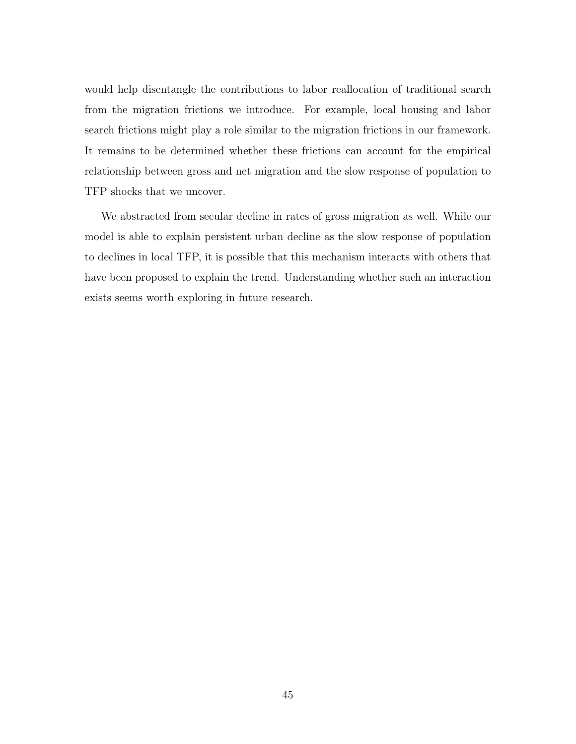would help disentangle the contributions to labor reallocation of traditional search from the migration frictions we introduce. For example, local housing and labor search frictions might play a role similar to the migration frictions in our framework. It remains to be determined whether these frictions can account for the empirical relationship between gross and net migration and the slow response of population to TFP shocks that we uncover.

We abstracted from secular decline in rates of gross migration as well. While our model is able to explain persistent urban decline as the slow response of population to declines in local TFP, it is possible that this mechanism interacts with others that have been proposed to explain the trend. Understanding whether such an interaction exists seems worth exploring in future research.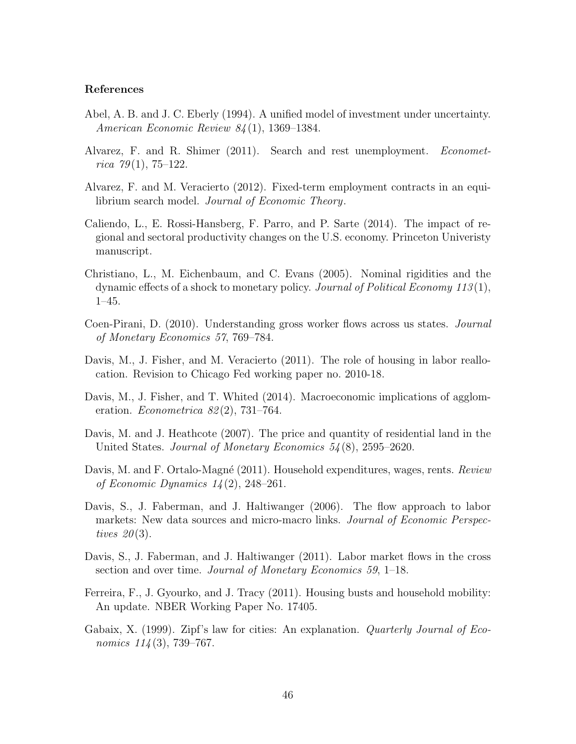#### References

- <span id="page-46-13"></span>Abel, A. B. and J. C. Eberly (1994). A unified model of investment under uncertainty. American Economic Review 84 (1), 1369–1384.
- <span id="page-46-9"></span>Alvarez, F. and R. Shimer (2011). Search and rest unemployment. Econometrica  $79(1)$ , 75-122.
- <span id="page-46-10"></span>Alvarez, F. and M. Veracierto (2012). Fixed-term employment contracts in an equilibrium search model. Journal of Economic Theory.
- <span id="page-46-3"></span>Caliendo, L., E. Rossi-Hansberg, F. Parro, and P. Sarte (2014). The impact of regional and sectoral productivity changes on the U.S. economy. Princeton Univeristy manuscript.
- <span id="page-46-12"></span>Christiano, L., M. Eichenbaum, and C. Evans (2005). Nominal rigidities and the dynamic effects of a shock to monetary policy. Journal of Political Economy 113 (1), 1–45.
- <span id="page-46-0"></span>Coen-Pirani, D. (2010). Understanding gross worker flows across us states. Journal of Monetary Economics 57, 769–784.
- <span id="page-46-4"></span>Davis, M., J. Fisher, and M. Veracierto (2011). The role of housing in labor reallocation. Revision to Chicago Fed working paper no. 2010-18.
- <span id="page-46-7"></span>Davis, M., J. Fisher, and T. Whited (2014). Macroeconomic implications of agglomeration. *Econometrica*  $82(2)$ , 731–764.
- <span id="page-46-11"></span>Davis, M. and J. Heathcote (2007). The price and quantity of residential land in the United States. Journal of Monetary Economics 54 (8), 2595–2620.
- <span id="page-46-8"></span>Davis, M. and F. Ortalo-Magné (2011). Household expenditures, wages, rents. Review of Economic Dynamics 14 (2), 248–261.
- <span id="page-46-5"></span>Davis, S., J. Faberman, and J. Haltiwanger (2006). The flow approach to labor markets: New data sources and micro-macro links. *Journal of Economic Perspec*tives  $20(3)$ .
- <span id="page-46-1"></span>Davis, S., J. Faberman, and J. Haltiwanger (2011). Labor market flows in the cross section and over time. *Journal of Monetary Economics* 59, 1–18.
- <span id="page-46-2"></span>Ferreira, F., J. Gyourko, and J. Tracy (2011). Housing busts and household mobility: An update. NBER Working Paper No. 17405.
- <span id="page-46-6"></span>Gabaix, X. (1999). Zipf's law for cities: An explanation. *Quarterly Journal of Eco*nomics  $114(3)$ , 739–767.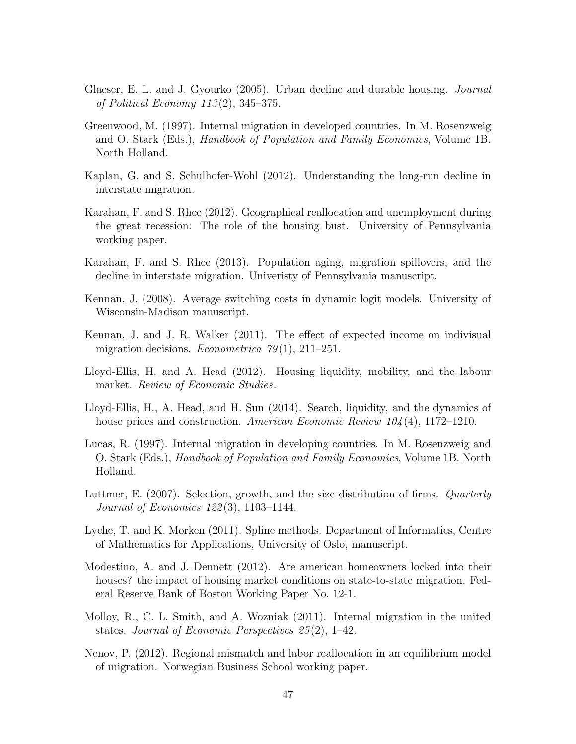- <span id="page-47-1"></span>Glaeser, E. L. and J. Gyourko (2005). Urban decline and durable housing. *Journal* of Political Economy  $113(2)$ , 345–375.
- <span id="page-47-2"></span>Greenwood, M. (1997). Internal migration in developed countries. In M. Rosenzweig and O. Stark (Eds.), *Handbook of Population and Family Economics*, Volume 1B. North Holland.
- <span id="page-47-5"></span>Kaplan, G. and S. Schulhofer-Wohl (2012). Understanding the long-run decline in interstate migration.
- <span id="page-47-6"></span>Karahan, F. and S. Rhee (2012). Geographical reallocation and unemployment during the great recession: The role of the housing bust. University of Pennsylvania working paper.
- <span id="page-47-4"></span>Karahan, F. and S. Rhee (2013). Population aging, migration spillovers, and the decline in interstate migration. Univeristy of Pennsylvania manuscript.
- <span id="page-47-13"></span>Kennan, J. (2008). Average switching costs in dynamic logit models. University of Wisconsin-Madison manuscript.
- <span id="page-47-0"></span>Kennan, J. and J. R. Walker (2011). The effect of expected income on indivisual migration decisions. *Econometrica*  $79(1)$ , 211–251.
- <span id="page-47-7"></span>Lloyd-Ellis, H. and A. Head (2012). Housing liquidity, mobility, and the labour market. Review of Economic Studies.
- <span id="page-47-10"></span>Lloyd-Ellis, H., A. Head, and H. Sun (2014). Search, liquidity, and the dynamics of house prices and construction. American Economic Review  $104(4)$ , 1172–1210.
- <span id="page-47-3"></span>Lucas, R. (1997). Internal migration in developing countries. In M. Rosenzweig and O. Stark (Eds.), Handbook of Population and Family Economics, Volume 1B. North Holland.
- <span id="page-47-12"></span>Luttmer, E. (2007). Selection, growth, and the size distribution of firms. *Quarterly* Journal of Economics 122 (3), 1103–1144.
- <span id="page-47-14"></span>Lyche, T. and K. Morken (2011). Spline methods. Department of Informatics, Centre of Mathematics for Applications, University of Oslo, manuscript.
- <span id="page-47-9"></span>Modestino, A. and J. Dennett (2012). Are american homeowners locked into their houses? the impact of housing market conditions on state-to-state migration. Federal Reserve Bank of Boston Working Paper No. 12-1.
- <span id="page-47-11"></span>Molloy, R., C. L. Smith, and A. Wozniak (2011). Internal migration in the united states. Journal of Economic Perspectives 25 (2), 1–42.
- <span id="page-47-8"></span>Nenov, P. (2012). Regional mismatch and labor reallocation in an equilibrium model of migration. Norwegian Business School working paper.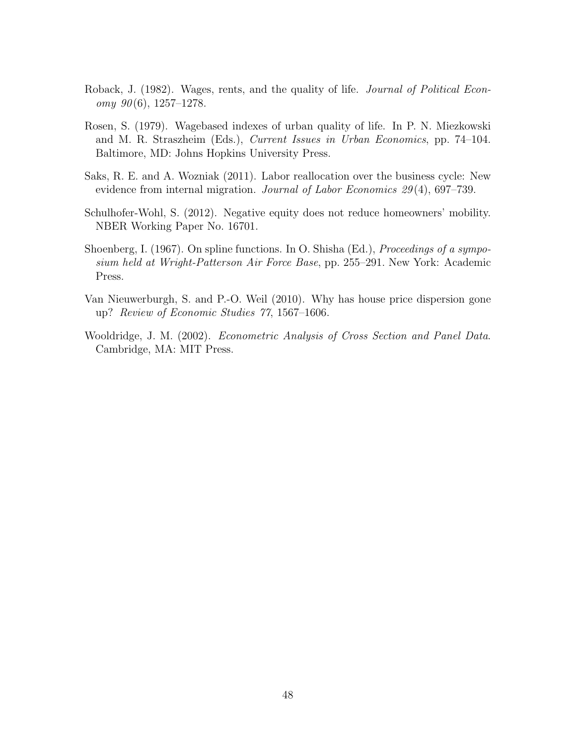- <span id="page-48-0"></span>Roback, J. (1982). Wages, rents, and the quality of life. *Journal of Political Econ* $omy \; 90(6), 1257-1278.$
- <span id="page-48-1"></span>Rosen, S. (1979). Wagebased indexes of urban quality of life. In P. N. Miezkowski and M. R. Straszheim (Eds.), Current Issues in Urban Economics, pp. 74–104. Baltimore, MD: Johns Hopkins University Press.
- <span id="page-48-4"></span>Saks, R. E. and A. Wozniak (2011). Labor reallocation over the business cycle: New evidence from internal migration. Journal of Labor Economics 29(4), 697–739.
- <span id="page-48-3"></span>Schulhofer-Wohl, S. (2012). Negative equity does not reduce homeowners' mobility. NBER Working Paper No. 16701.
- <span id="page-48-6"></span>Shoenberg, I. (1967). On spline functions. In O. Shisha (Ed.), *Proceedings of a sympo*sium held at Wright-Patterson Air Force Base, pp. 255–291. New York: Academic Press.
- <span id="page-48-2"></span>Van Nieuwerburgh, S. and P.-O. Weil (2010). Why has house price dispersion gone up? Review of Economic Studies 77, 1567–1606.
- <span id="page-48-5"></span>Wooldridge, J. M. (2002). Econometric Analysis of Cross Section and Panel Data. Cambridge, MA: MIT Press.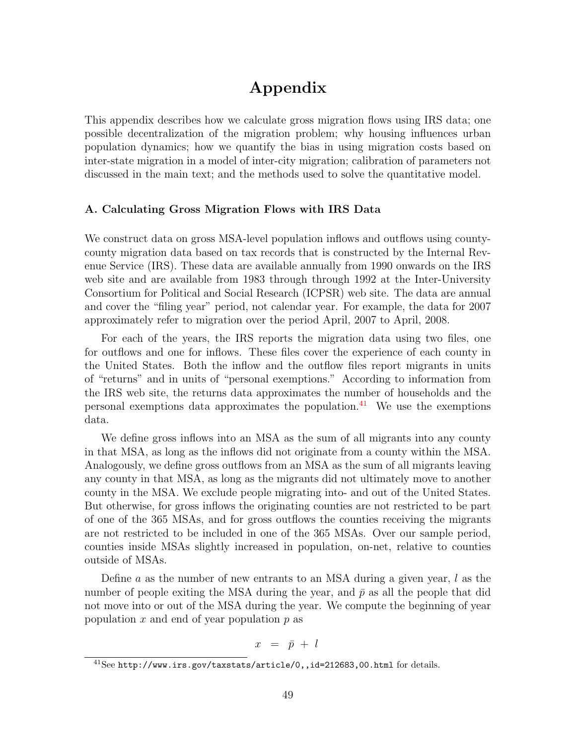# Appendix

This appendix describes how we calculate gross migration flows using IRS data; one possible decentralization of the migration problem; why housing influences urban population dynamics; how we quantify the bias in using migration costs based on inter-state migration in a model of inter-city migration; calibration of parameters not discussed in the main text; and the methods used to solve the quantitative model.

# A. Calculating Gross Migration Flows with IRS Data

We construct data on gross MSA-level population inflows and outflows using countycounty migration data based on tax records that is constructed by the Internal Revenue Service (IRS). These data are available annually from 1990 onwards on the IRS web site and are available from 1983 through through 1992 at the Inter-University Consortium for Political and Social Research (ICPSR) web site. The data are annual and cover the "filing year" period, not calendar year. For example, the data for 2007 approximately refer to migration over the period April, 2007 to April, 2008.

For each of the years, the IRS reports the migration data using two files, one for outflows and one for inflows. These files cover the experience of each county in the United States. Both the inflow and the outflow files report migrants in units of "returns" and in units of "personal exemptions." According to information from the IRS web site, the returns data approximates the number of households and the personal exemptions data approximates the population.<sup>[41](#page-0-0)</sup> We use the exemptions data.

We define gross inflows into an MSA as the sum of all migrants into any county in that MSA, as long as the inflows did not originate from a county within the MSA. Analogously, we define gross outflows from an MSA as the sum of all migrants leaving any county in that MSA, as long as the migrants did not ultimately move to another county in the MSA. We exclude people migrating into- and out of the United States. But otherwise, for gross inflows the originating counties are not restricted to be part of one of the 365 MSAs, and for gross outflows the counties receiving the migrants are not restricted to be included in one of the 365 MSAs. Over our sample period, counties inside MSAs slightly increased in population, on-net, relative to counties outside of MSAs.

Define a as the number of new entrants to an MSA during a given year,  $l$  as the number of people exiting the MSA during the year, and  $\bar{p}$  as all the people that did not move into or out of the MSA during the year. We compute the beginning of year population  $x$  and end of year population  $p$  as

$$
x = \bar{p} + l
$$

 $^{41}$ See http://www.irs.gov/taxstats/article/0,,id=212683,00.html for details.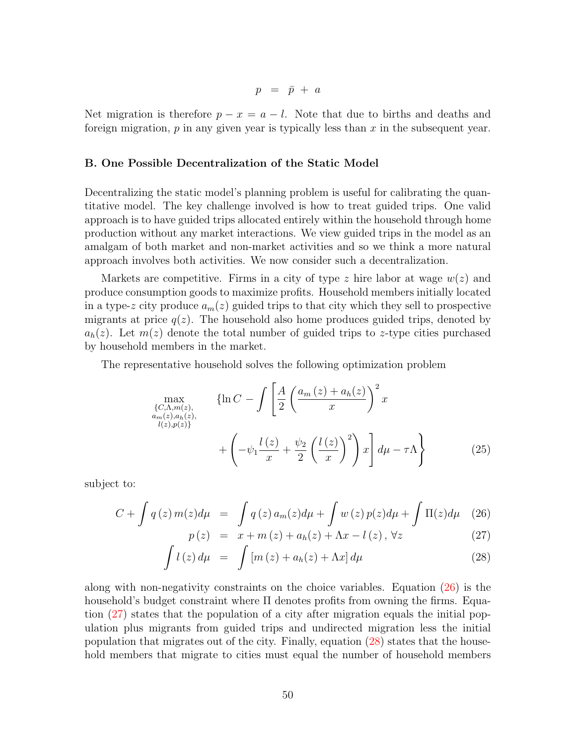$$
p\ =\ \bar p\ +\ a
$$

Net migration is therefore  $p - x = a - l$ . Note that due to births and deaths and foreign migration,  $p$  in any given year is typically less than  $x$  in the subsequent year.

# <span id="page-50-0"></span>B. One Possible Decentralization of the Static Model

Decentralizing the static model's planning problem is useful for calibrating the quantitative model. The key challenge involved is how to treat guided trips. One valid approach is to have guided trips allocated entirely within the household through home production without any market interactions. We view guided trips in the model as an amalgam of both market and non-market activities and so we think a more natural approach involves both activities. We now consider such a decentralization.

Markets are competitive. Firms in a city of type z hire labor at wage  $w(z)$  and produce consumption goods to maximize profits. Household members initially located in a type-z city produce  $a_m(z)$  guided trips to that city which they sell to prospective migrants at price  $q(z)$ . The household also home produces guided trips, denoted by  $a_h(z)$ . Let  $m(z)$  denote the total number of guided trips to z-type cities purchased by household members in the market.

The representative household solves the following optimization problem

$$
\max_{\substack{\{C,\Lambda,m(z),\\a_m(z),a_h(z),\\l(z),p(z)\}}} \{ln C - \int \left[ \frac{A}{2} \left( \frac{a_m(z) + a_h(z)}{x} \right)^2 x + \left( -\psi_1 \frac{l(z)}{x} + \frac{\psi_2}{2} \left( \frac{l(z)}{x} \right)^2 \right) x \right] d\mu - \tau \Lambda \}
$$
\n
$$
(25)
$$

subject to:

<span id="page-50-1"></span>
$$
C + \int q(z) m(z) d\mu = \int q(z) a_m(z) d\mu + \int w(z) p(z) d\mu + \int \Pi(z) d\mu \quad (26)
$$

$$
p(z) = x + m(z) + a_h(z) + \Lambda x - l(z), \forall z \tag{27}
$$

$$
\int l(z) d\mu = \int [m(z) + a_h(z) + \Lambda x] d\mu \tag{28}
$$

along with non-negativity constraints on the choice variables. Equation [\(26\)](#page-50-1) is the household's budget constraint where Π denotes profits from owning the firms. Equation [\(27\)](#page-50-1) states that the population of a city after migration equals the initial population plus migrants from guided trips and undirected migration less the initial population that migrates out of the city. Finally, equation [\(28\)](#page-50-1) states that the household members that migrate to cities must equal the number of household members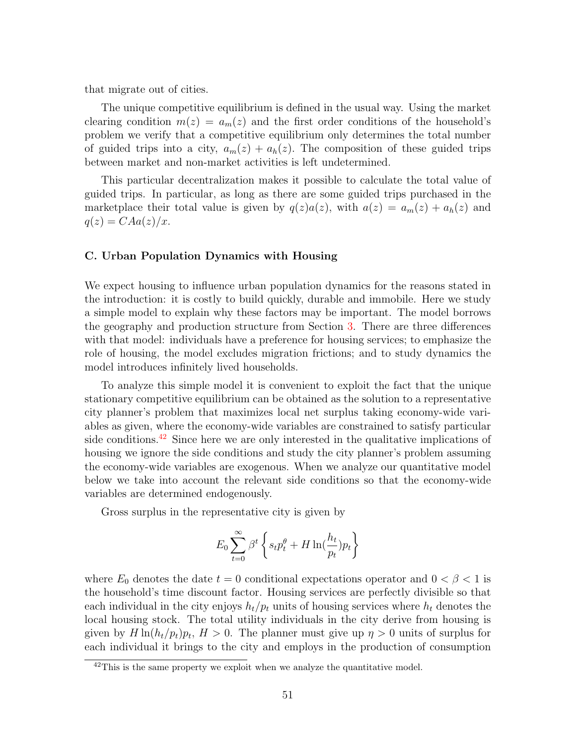that migrate out of cities.

The unique competitive equilibrium is defined in the usual way. Using the market clearing condition  $m(z) = a_m(z)$  and the first order conditions of the household's problem we verify that a competitive equilibrium only determines the total number of guided trips into a city,  $a_m(z) + a_h(z)$ . The composition of these guided trips between market and non-market activities is left undetermined.

This particular decentralization makes it possible to calculate the total value of guided trips. In particular, as long as there are some guided trips purchased in the marketplace their total value is given by  $q(z)a(z)$ , with  $a(z) = a_m(z) + a_h(z)$  and  $q(z) = CAa(z)/x.$ 

# <span id="page-51-0"></span>C. Urban Population Dynamics with Housing

We expect housing to influence urban population dynamics for the reasons stated in the introduction: it is costly to build quickly, durable and immobile. Here we study a simple model to explain why these factors may be important. The model borrows the geography and production structure from Section [3.](#page-11-1) There are three differences with that model: individuals have a preference for housing services; to emphasize the role of housing, the model excludes migration frictions; and to study dynamics the model introduces infinitely lived households.

To analyze this simple model it is convenient to exploit the fact that the unique stationary competitive equilibrium can be obtained as the solution to a representative city planner's problem that maximizes local net surplus taking economy-wide variables as given, where the economy-wide variables are constrained to satisfy particular side conditions.<sup>[42](#page-0-0)</sup> Since here we are only interested in the qualitative implications of housing we ignore the side conditions and study the city planner's problem assuming the economy-wide variables are exogenous. When we analyze our quantitative model below we take into account the relevant side conditions so that the economy-wide variables are determined endogenously.

Gross surplus in the representative city is given by

$$
E_0 \sum_{t=0}^{\infty} \beta^t \left\{ s_t p_t^{\theta} + H \ln(\frac{h_t}{p_t}) p_t \right\}
$$

where  $E_0$  denotes the date  $t = 0$  conditional expectations operator and  $0 < \beta < 1$  is the household's time discount factor. Housing services are perfectly divisible so that each individual in the city enjoys  $h_t/p_t$  units of housing services where  $h_t$  denotes the local housing stock. The total utility individuals in the city derive from housing is given by  $H \ln(h_t/p_t)p_t$ ,  $H > 0$ . The planner must give up  $\eta > 0$  units of surplus for each individual it brings to the city and employs in the production of consumption

 $42$ This is the same property we exploit when we analyze the quantitative model.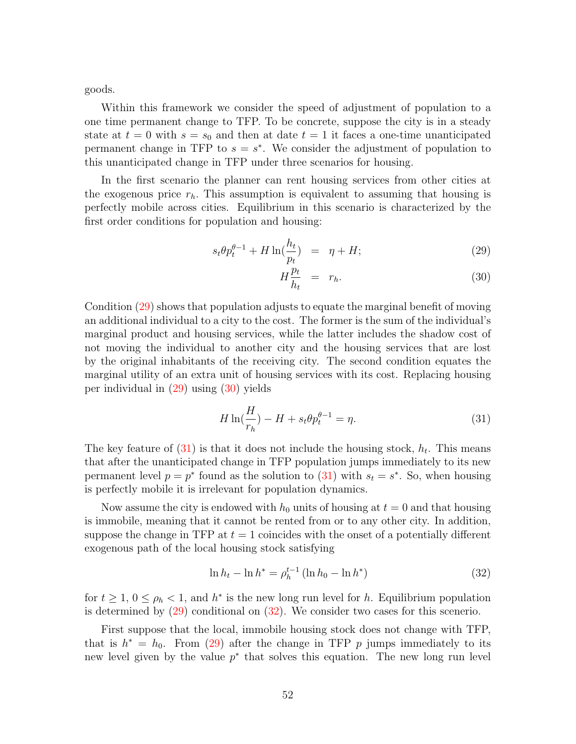goods.

Within this framework we consider the speed of adjustment of population to a one time permanent change to TFP. To be concrete, suppose the city is in a steady state at  $t = 0$  with  $s = s_0$  and then at date  $t = 1$  it faces a one-time unanticipated permanent change in TFP to  $s = s^*$ . We consider the adjustment of population to this unanticipated change in TFP under three scenarios for housing.

In the first scenario the planner can rent housing services from other cities at the exogenous price  $r<sub>h</sub>$ . This assumption is equivalent to assuming that housing is perfectly mobile across cities. Equilibrium in this scenario is characterized by the first order conditions for population and housing:

<span id="page-52-0"></span>
$$
s_t \theta p_t^{\theta - 1} + H \ln(\frac{h_t}{p_t}) = \eta + H; \qquad (29)
$$

$$
H\frac{p_t}{h_t} = r_h. \tag{30}
$$

Condition [\(29\)](#page-52-0) shows that population adjusts to equate the marginal benefit of moving an additional individual to a city to the cost. The former is the sum of the individual's marginal product and housing services, while the latter includes the shadow cost of not moving the individual to another city and the housing services that are lost by the original inhabitants of the receiving city. The second condition equates the marginal utility of an extra unit of housing services with its cost. Replacing housing per individual in [\(29\)](#page-52-0) using [\(30\)](#page-52-0) yields

<span id="page-52-1"></span>
$$
H \ln(\frac{H}{r_h}) - H + s_t \theta p_t^{\theta - 1} = \eta.
$$
\n<sup>(31)</sup>

The key feature of  $(31)$  is that it does not include the housing stock,  $h_t$ . This means that after the unanticipated change in TFP population jumps immediately to its new permanent level  $p = p^*$  found as the solution to  $(31)$  with  $s_t = s^*$ . So, when housing is perfectly mobile it is irrelevant for population dynamics.

Now assume the city is endowed with  $h_0$  units of housing at  $t = 0$  and that housing is immobile, meaning that it cannot be rented from or to any other city. In addition, suppose the change in TFP at  $t = 1$  coincides with the onset of a potentially different exogenous path of the local housing stock satisfying

<span id="page-52-2"></span>
$$
\ln h_t - \ln h^* = \rho_h^{t-1} (\ln h_0 - \ln h^*)
$$
\n(32)

for  $t \geq 1, 0 \leq \rho_h < 1$ , and  $h^*$  is the new long run level for h. Equilibrium population is determined by [\(29\)](#page-52-0) conditional on [\(32\)](#page-52-2). We consider two cases for this scenerio.

First suppose that the local, immobile housing stock does not change with TFP, that is  $h^* = h_0$ . From [\(29\)](#page-52-0) after the change in TFP p jumps immediately to its new level given by the value  $p^*$  that solves this equation. The new long run level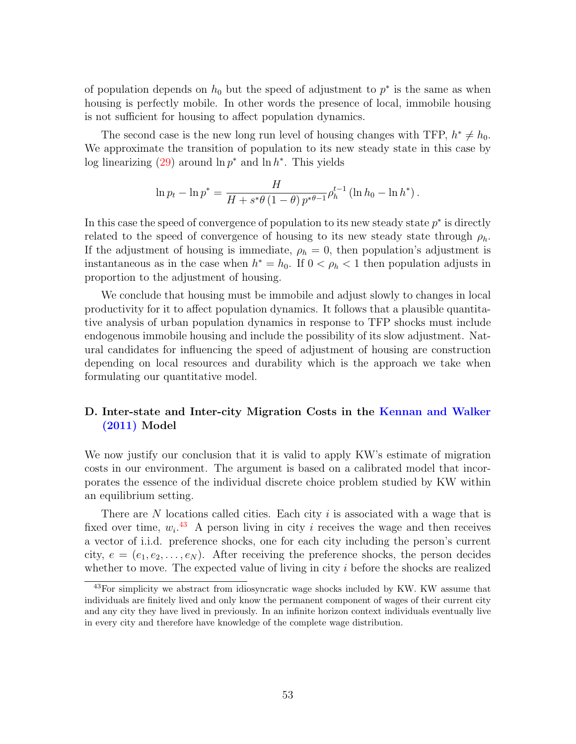of population depends on  $h_0$  but the speed of adjustment to  $p^*$  is the same as when housing is perfectly mobile. In other words the presence of local, immobile housing is not sufficient for housing to affect population dynamics.

The second case is the new long run level of housing changes with TFP,  $h^* \neq h_0$ . We approximate the transition of population to its new steady state in this case by log linearizing  $(29)$  around  $\ln p^*$  and  $\ln h^*$ . This yields

$$
\ln p_t - \ln p^* = \frac{H}{H + s^*\theta (1 - \theta) p^{*\theta - 1}} \rho_h^{t-1} (\ln h_0 - \ln h^*).
$$

In this case the speed of convergence of population to its new steady state  $p^*$  is directly related to the speed of convergence of housing to its new steady state through  $\rho_h$ . If the adjustment of housing is immediate,  $\rho_h = 0$ , then population's adjustment is instantaneous as in the case when  $h^* = h_0$ . If  $0 < \rho_h < 1$  then population adjusts in proportion to the adjustment of housing.

We conclude that housing must be immobile and adjust slowly to changes in local productivity for it to affect population dynamics. It follows that a plausible quantitative analysis of urban population dynamics in response to TFP shocks must include endogenous immobile housing and include the possibility of its slow adjustment. Natural candidates for influencing the speed of adjustment of housing are construction depending on local resources and durability which is the approach we take when formulating our quantitative model.

# <span id="page-53-0"></span>D. Inter-state and Inter-city Migration Costs in the [Kennan and Walker](#page-47-0) [\(2011\)](#page-47-0) Model

We now justify our conclusion that it is valid to apply KW's estimate of migration costs in our environment. The argument is based on a calibrated model that incorporates the essence of the individual discrete choice problem studied by KW within an equilibrium setting.

There are  $N$  locations called cities. Each city  $i$  is associated with a wage that is fixed over time,  $w_i$ <sup>[43](#page-0-0)</sup> A person living in city i receives the wage and then receives a vector of i.i.d. preference shocks, one for each city including the person's current city,  $e = (e_1, e_2, \ldots, e_N)$ . After receiving the preference shocks, the person decides whether to move. The expected value of living in city  $i$  before the shocks are realized

<sup>43</sup>For simplicity we abstract from idiosyncratic wage shocks included by KW. KW assume that individuals are finitely lived and only know the permanent component of wages of their current city and any city they have lived in previously. In an infinite horizon context individuals eventually live in every city and therefore have knowledge of the complete wage distribution.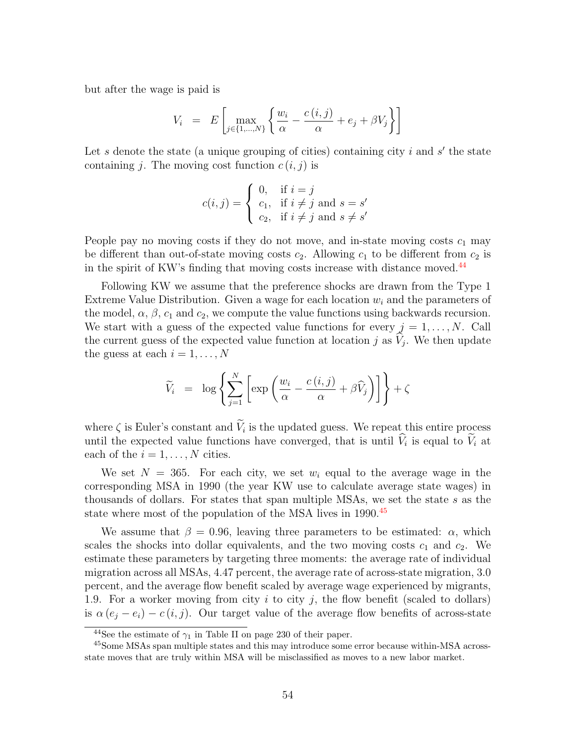but after the wage is paid is

$$
V_i = E\left[\max_{j \in \{1, \dots, N\}} \left\{ \frac{w_i}{\alpha} - \frac{c(i,j)}{\alpha} + e_j + \beta V_j \right\} \right]
$$

Let s denote the state (a unique grouping of cities) containing city  $i$  and  $s'$  the state containing j. The moving cost function  $c(i, j)$  is

$$
c(i,j) = \begin{cases} 0, & \text{if } i = j \\ c_1, & \text{if } i \neq j \text{ and } s = s' \\ c_2, & \text{if } i \neq j \text{ and } s \neq s' \end{cases}
$$

People pay no moving costs if they do not move, and in-state moving costs  $c_1$  may be different than out-of-state moving costs  $c_2$ . Allowing  $c_1$  to be different from  $c_2$  is in the spirit of KW's finding that moving costs increase with distance moved.<sup>[44](#page-0-0)</sup>

Following KW we assume that the preference shocks are drawn from the Type 1 Extreme Value Distribution. Given a wage for each location  $w<sub>i</sub>$  and the parameters of the model,  $\alpha$ ,  $\beta$ ,  $c_1$  and  $c_2$ , we compute the value functions using backwards recursion. We start with a guess of the expected value functions for every  $j = 1, ..., N$ . Call the current guess of the expected value function at location  $j$  as  $V_j$ . We then update the guess at each  $i = 1, \ldots, N$ 

$$
\widetilde{V}_i = \log \left\{ \sum_{j=1}^N \left[ \exp \left( \frac{w_i}{\alpha} - \frac{c(i,j)}{\alpha} + \beta \widehat{V}_j \right) \right] \right\} + \zeta
$$

where  $\zeta$  is Euler's constant and  $V_i$  is the updated guess. We repeat this entire process until the expected value functions have converged, that is until  $V_i$  is equal to  $V_i$  at each of the  $i = 1, \ldots, N$  cities.

We set  $N = 365$ . For each city, we set  $w_i$  equal to the average wage in the corresponding MSA in 1990 (the year KW use to calculate average state wages) in thousands of dollars. For states that span multiple MSAs, we set the state s as the state where most of the population of the MSA lives in 1990.<sup>[45](#page-0-0)</sup>

We assume that  $\beta = 0.96$ , leaving three parameters to be estimated:  $\alpha$ , which scales the shocks into dollar equivalents, and the two moving costs  $c_1$  and  $c_2$ . We estimate these parameters by targeting three moments: the average rate of individual migration across all MSAs, 4.47 percent, the average rate of across-state migration, 3.0 percent, and the average flow benefit scaled by average wage experienced by migrants, 1.9. For a worker moving from city  $i$  to city  $j$ , the flow benefit (scaled to dollars) is  $\alpha (e_j - e_i) - c(i, j)$ . Our target value of the average flow benefits of across-state

<sup>&</sup>lt;sup>44</sup>See the estimate of  $\gamma_1$  in Table II on page 230 of their paper.

<sup>45</sup>Some MSAs span multiple states and this may introduce some error because within-MSA acrossstate moves that are truly within MSA will be misclassified as moves to a new labor market.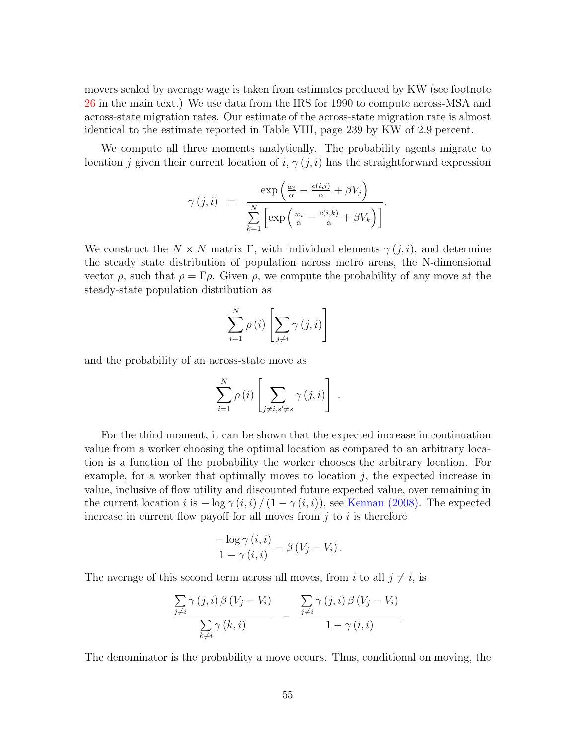movers scaled by average wage is taken from estimates produced by KW (see footnote [26](#page-26-0) in the main text.) We use data from the IRS for 1990 to compute across-MSA and across-state migration rates. Our estimate of the across-state migration rate is almost identical to the estimate reported in Table VIII, page 239 by KW of 2.9 percent.

We compute all three moments analytically. The probability agents migrate to location j given their current location of i,  $\gamma(j, i)$  has the straightforward expression

$$
\gamma(j,i) = \frac{\exp\left(\frac{w_i}{\alpha} - \frac{c(i,j)}{\alpha} + \beta V_j\right)}{\sum_{k=1}^N \left[\exp\left(\frac{w_i}{\alpha} - \frac{c(i,k)}{\alpha} + \beta V_k\right)\right]}.
$$

We construct the  $N \times N$  matrix Γ, with individual elements  $\gamma(i,i)$ , and determine the steady state distribution of population across metro areas, the N-dimensional vector  $\rho$ , such that  $\rho = \Gamma \rho$ . Given  $\rho$ , we compute the probability of any move at the steady-state population distribution as

$$
\sum_{i=1}^{N} \rho(i) \left[ \sum_{j \neq i} \gamma(j, i) \right]
$$

and the probability of an across-state move as

$$
\sum_{i=1}^{N} \rho(i) \left[ \sum_{j \neq i, s' \neq s} \gamma(j, i) \right].
$$

For the third moment, it can be shown that the expected increase in continuation value from a worker choosing the optimal location as compared to an arbitrary location is a function of the probability the worker chooses the arbitrary location. For example, for a worker that optimally moves to location  $j$ , the expected increase in value, inclusive of flow utility and discounted future expected value, over remaining in the current location i is  $-\log \gamma(i,i)/(1-\gamma(i,i))$ , see [Kennan](#page-47-13) [\(2008\)](#page-47-13). The expected increase in current flow payoff for all moves from  $i$  to  $i$  is therefore

$$
\frac{-\log \gamma(i,i)}{1-\gamma(i,i)} - \beta(V_j-V_i).
$$

The average of this second term across all moves, from i to all  $j \neq i$ , is

$$
\frac{\sum\limits_{j\neq i}\gamma(j,i)\,\beta\left(V_j-V_i\right)}{\sum\limits_{k\neq i}\gamma\left(k,i\right)}\quad=\quad\frac{\sum\limits_{j\neq i}\gamma\left(j,i\right)\beta\left(V_j-V_i\right)}{1-\gamma\left(i,i\right)}.
$$

The denominator is the probability a move occurs. Thus, conditional on moving, the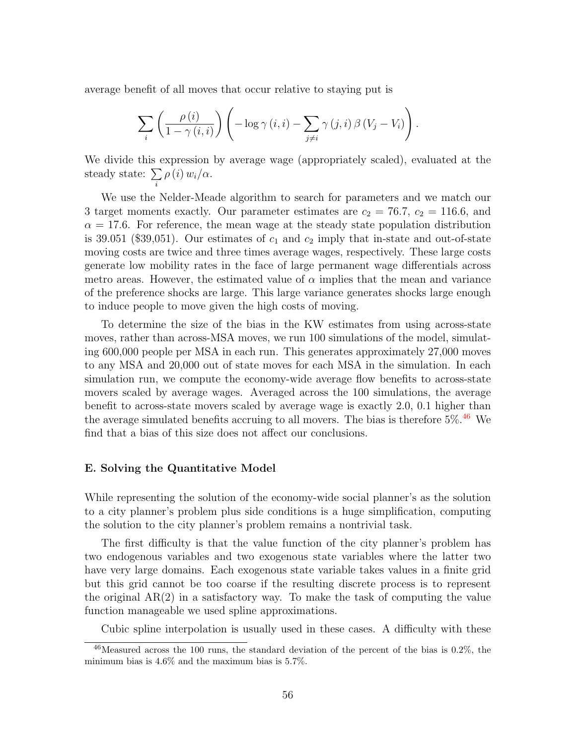average benefit of all moves that occur relative to staying put is

$$
\sum_{i} \left( \frac{\rho(i)}{1 - \gamma(i, i)} \right) \left( -\log \gamma(i, i) - \sum_{j \neq i} \gamma(j, i) \beta(V_j - V_i) \right).
$$

We divide this expression by average wage (appropriately scaled), evaluated at the steady state:  $\sum$ i  $\rho(i) w_i/\alpha$ .

We use the Nelder-Meade algorithm to search for parameters and we match our 3 target moments exactly. Our parameter estimates are  $c_2 = 76.7$ ,  $c_2 = 116.6$ , and  $\alpha = 17.6$ . For reference, the mean wage at the steady state population distribution is 39.051 (\$39,051). Our estimates of  $c_1$  and  $c_2$  imply that in-state and out-of-state moving costs are twice and three times average wages, respectively. These large costs generate low mobility rates in the face of large permanent wage differentials across metro areas. However, the estimated value of  $\alpha$  implies that the mean and variance of the preference shocks are large. This large variance generates shocks large enough to induce people to move given the high costs of moving.

To determine the size of the bias in the KW estimates from using across-state moves, rather than across-MSA moves, we run 100 simulations of the model, simulating 600,000 people per MSA in each run. This generates approximately 27,000 moves to any MSA and 20,000 out of state moves for each MSA in the simulation. In each simulation run, we compute the economy-wide average flow benefits to across-state movers scaled by average wages. Averaged across the 100 simulations, the average benefit to across-state movers scaled by average wage is exactly 2.0, 0.1 higher than the average simulated benefits accruing to all movers. The bias is therefore  $5\%$ .<sup>[46](#page-0-0)</sup> We find that a bias of this size does not affect our conclusions.

#### <span id="page-56-0"></span>E. Solving the Quantitative Model

While representing the solution of the economy-wide social planner's as the solution to a city planner's problem plus side conditions is a huge simplification, computing the solution to the city planner's problem remains a nontrivial task.

The first difficulty is that the value function of the city planner's problem has two endogenous variables and two exogenous state variables where the latter two have very large domains. Each exogenous state variable takes values in a finite grid but this grid cannot be too coarse if the resulting discrete process is to represent the original AR(2) in a satisfactory way. To make the task of computing the value function manageable we used spline approximations.

Cubic spline interpolation is usually used in these cases. A difficulty with these

 $46$ Measured across the 100 runs, the standard deviation of the percent of the bias is 0.2%, the minimum bias is 4.6% and the maximum bias is 5.7%.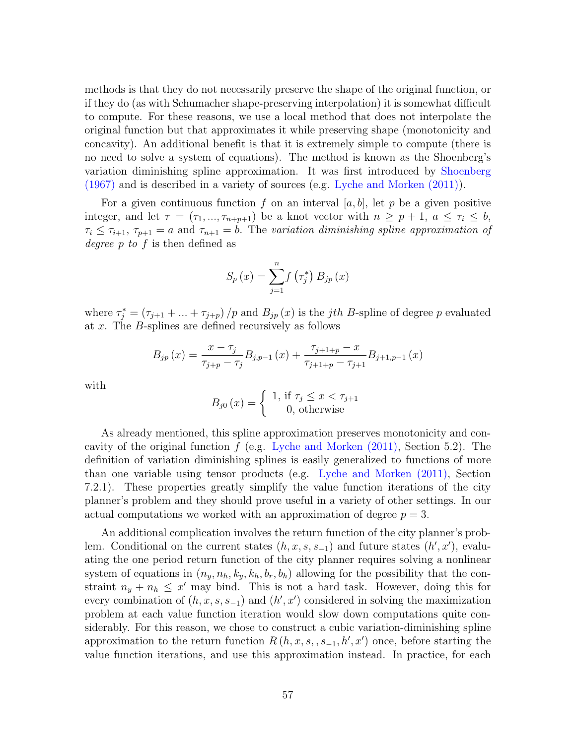methods is that they do not necessarily preserve the shape of the original function, or if they do (as with Schumacher shape-preserving interpolation) it is somewhat difficult to compute. For these reasons, we use a local method that does not interpolate the original function but that approximates it while preserving shape (monotonicity and concavity). An additional benefit is that it is extremely simple to compute (there is no need to solve a system of equations). The method is known as the Shoenberg's variation diminishing spline approximation. It was first introduced by [Shoenberg](#page-48-6) [\(1967\)](#page-48-6) and is described in a variety of sources (e.g. [Lyche and Morken](#page-47-14) [\(2011\)](#page-47-14)).

For a given continuous function f on an interval [a, b], let p be a given positive integer, and let  $\tau = (\tau_1, ..., \tau_{n+p+1})$  be a knot vector with  $n \geq p+1$ ,  $a \leq \tau_i \leq b$ ,  $\tau_i \leq \tau_{i+1}, \tau_{p+1} = a$  and  $\tau_{n+1} = b$ . The variation diminishing spline approximation of degree p to f is then defined as

$$
S_p(x) = \sum_{j=1}^{n} f\left(\tau_j^*\right) B_{jp}(x)
$$

where  $\tau_j^* = (\tau_{j+1} + ... + \tau_{j+p})/p$  and  $B_{jp}(x)$  is the *jth B*-spline of degree p evaluated at x. The B-splines are defined recursively as follows

$$
B_{jp}(x) = \frac{x - \tau_j}{\tau_{j+p} - \tau_j} B_{j,p-1}(x) + \frac{\tau_{j+1+p} - x}{\tau_{j+1+p} - \tau_{j+1}} B_{j+1,p-1}(x)
$$

with

$$
B_{j0}(x) = \begin{cases} 1, & \text{if } \tau_j \leq x < \tau_{j+1} \\ 0, & \text{otherwise} \end{cases}
$$

As already mentioned, this spline approximation preserves monotonicity and concavity of the original function  $f$  (e.g. [Lyche and Morken](#page-47-14)  $(2011)$ , Section 5.2). The definition of variation diminishing splines is easily generalized to functions of more than one variable using tensor products (e.g. [Lyche and Morken](#page-47-14) [\(2011\)](#page-47-14), Section 7.2.1). These properties greatly simplify the value function iterations of the city planner's problem and they should prove useful in a variety of other settings. In our actual computations we worked with an approximation of degree  $p = 3$ .

An additional complication involves the return function of the city planner's problem. Conditional on the current states  $(h, x, s, s_{-1})$  and future states  $(h', x')$ , evaluating the one period return function of the city planner requires solving a nonlinear system of equations in  $(n_y, n_h, k_y, k_h, b_r, b_h)$  allowing for the possibility that the constraint  $n_y + n_h \leq x'$  may bind. This is not a hard task. However, doing this for every combination of  $(h, x, s, s_{-1})$  and  $(h', x')$  considered in solving the maximization problem at each value function iteration would slow down computations quite considerably. For this reason, we chose to construct a cubic variation-diminishing spline approximation to the return function  $R(h, x, s, s_{-1}, h', x')$  once, before starting the value function iterations, and use this approximation instead. In practice, for each